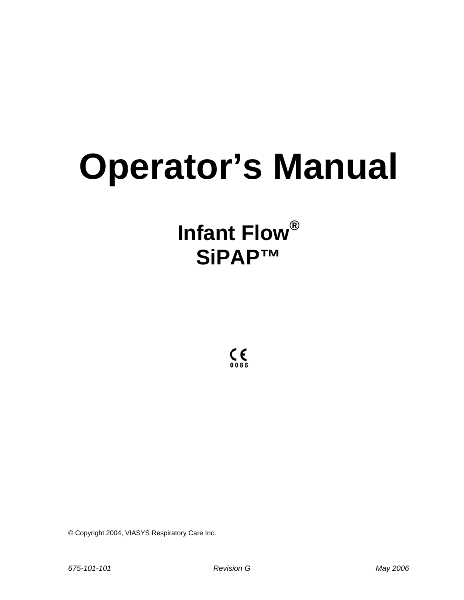# **Operator's Manual**

## **Infant Flow® SiPAP™**

 $\zeta_{\text{osc}}$ 

© Copyright 2004, VIASYS Respiratory Care Inc.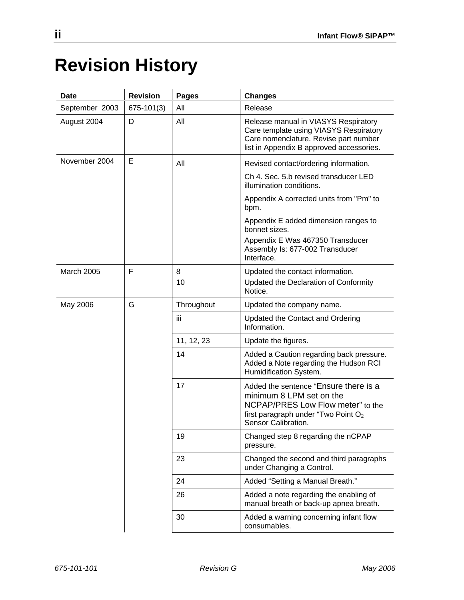## <span id="page-1-0"></span>**Revision History**

| <b>Date</b>    | <b>Revision</b> | <b>Pages</b> | <b>Changes</b>                                                                                                                                                         |  |  |
|----------------|-----------------|--------------|------------------------------------------------------------------------------------------------------------------------------------------------------------------------|--|--|
| September 2003 | 675-101(3)      | All          | Release                                                                                                                                                                |  |  |
| August 2004    | D               | All          | Release manual in VIASYS Respiratory<br>Care template using VIASYS Respiratory<br>Care nomenclature. Revise part number<br>list in Appendix B approved accessories.    |  |  |
| November 2004  | E               | All          | Revised contact/ordering information.                                                                                                                                  |  |  |
|                |                 |              | Ch 4. Sec. 5.b revised transducer LED<br>illumination conditions.                                                                                                      |  |  |
|                |                 |              | Appendix A corrected units from "Pm" to<br>bpm.                                                                                                                        |  |  |
|                |                 |              | Appendix E added dimension ranges to<br>bonnet sizes.                                                                                                                  |  |  |
|                |                 |              | Appendix E Was 467350 Transducer<br>Assembly Is: 677-002 Transducer<br>Interface.                                                                                      |  |  |
| March 2005     | F               | 8            | Updated the contact information.                                                                                                                                       |  |  |
|                |                 | 10           | Updated the Declaration of Conformity<br>Notice.                                                                                                                       |  |  |
| May 2006       | G               | Throughout   | Updated the company name.                                                                                                                                              |  |  |
|                |                 | iii          | Updated the Contact and Ordering<br>Information.                                                                                                                       |  |  |
|                |                 | 11, 12, 23   | Update the figures.                                                                                                                                                    |  |  |
|                |                 | 14           | Added a Caution regarding back pressure.<br>Added a Note regarding the Hudson RCI<br>Humidification System.                                                            |  |  |
|                |                 | 17           | Added the sentence "Ensure there is a<br>minimum 8 LPM set on the<br>NCPAP/PRES Low Flow meter" to the<br>first paragraph under "Two Point $O2$<br>Sensor Calibration. |  |  |
|                |                 | 19           | Changed step 8 regarding the nCPAP<br>pressure.                                                                                                                        |  |  |
|                |                 | 23           | Changed the second and third paragraphs<br>under Changing a Control.                                                                                                   |  |  |
|                |                 | 24           | Added "Setting a Manual Breath."                                                                                                                                       |  |  |
|                |                 | 26           | Added a note regarding the enabling of<br>manual breath or back-up apnea breath.                                                                                       |  |  |
|                |                 | 30           | Added a warning concerning infant flow<br>consumables.                                                                                                                 |  |  |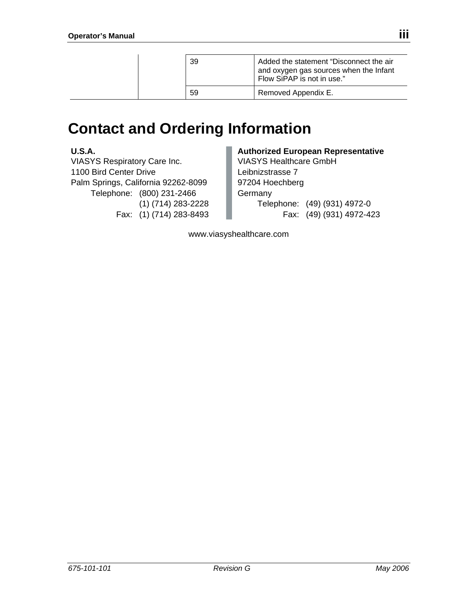<span id="page-2-0"></span>

|  | 39 | Added the statement "Disconnect the air<br>and oxygen gas sources when the Infant<br>Flow SiPAP is not in use." |
|--|----|-----------------------------------------------------------------------------------------------------------------|
|  | 59 | Removed Appendix E.                                                                                             |

### **Contact and Ordering Information**

**U.S.A.**  VIASYS Respiratory Care Inc. 1100 Bird Center Drive Palm Springs, California 92262-8099 Telephone: (800) 231-2466 (1) (714) 283-2228 Fax: (1) (714) 283-8493

#### **Authorized European Representative**

VIASYS Healthcare GmbH Leibnizstrasse 7 97204 Hoechberg **Germany**  Telephone: (49) (931) 4972-0 Fax: (49) (931) 4972-423

www.viasyshealthcare.com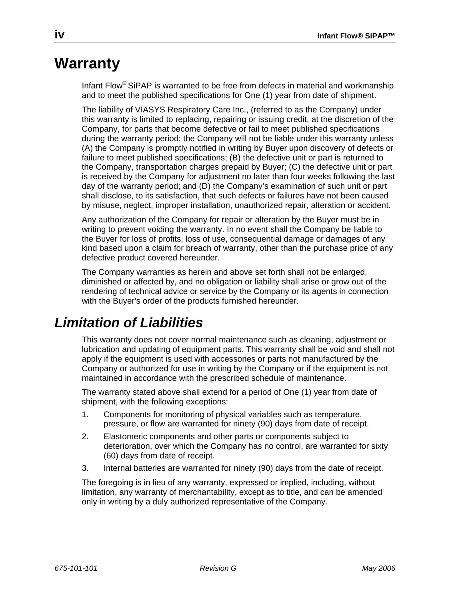### <span id="page-3-0"></span>**Warranty**

Infant Flow® SiPAP is warranted to be free from defects in material and workmanship and to meet the published specifications for One (1) year from date of shipment.

The liability of VIASYS Respiratory Care Inc., (referred to as the Company) under this warranty is limited to replacing, repairing or issuing credit, at the discretion of the Company, for parts that become defective or fail to meet published specifications during the warranty period; the Company will not be liable under this warranty unless (A) the Company is promptly notified in writing by Buyer upon discovery of defects or failure to meet published specifications; (B) the defective unit or part is returned to the Company, transportation charges prepaid by Buyer; (C) the defective unit or part is received by the Company for adjustment no later than four weeks following the last day of the warranty period; and (D) the Company's examination of such unit or part shall disclose, to its satisfaction, that such defects or failures have not been caused by misuse, neglect, improper installation, unauthorized repair, alteration or accident.

Any authorization of the Company for repair or alteration by the Buyer must be in writing to prevent voiding the warranty. In no event shall the Company be liable to the Buyer for loss of profits, loss of use, consequential damage or damages of any kind based upon a claim for breach of warranty, other than the purchase price of any defective product covered hereunder.

The Company warranties as herein and above set forth shall not be enlarged, diminished or affected by, and no obligation or liability shall arise or grow out of the rendering of technical advice or service by the Company or its agents in connection with the Buyer's order of the products furnished hereunder.

#### *Limitation of Liabilities*

This warranty does not cover normal maintenance such as cleaning, adjustment or lubrication and updating of equipment parts. This warranty shall be void and shall not apply if the equipment is used with accessories or parts not manufactured by the Company or authorized for use in writing by the Company or if the equipment is not maintained in accordance with the prescribed schedule of maintenance.

The warranty stated above shall extend for a period of One (1) year from date of shipment, with the following exceptions:

- 1. Components for monitoring of physical variables such as temperature, pressure, or flow are warranted for ninety (90) days from date of receipt.
- 2. Elastomeric components and other parts or components subject to deterioration, over which the Company has no control, are warranted for sixty (60) days from date of receipt.
- 3. Internal batteries are warranted for ninety (90) days from the date of receipt.

The foregoing is in lieu of any warranty, expressed or implied, including, without limitation, any warranty of merchantability, except as to title, and can be amended only in writing by a duly authorized representative of the Company.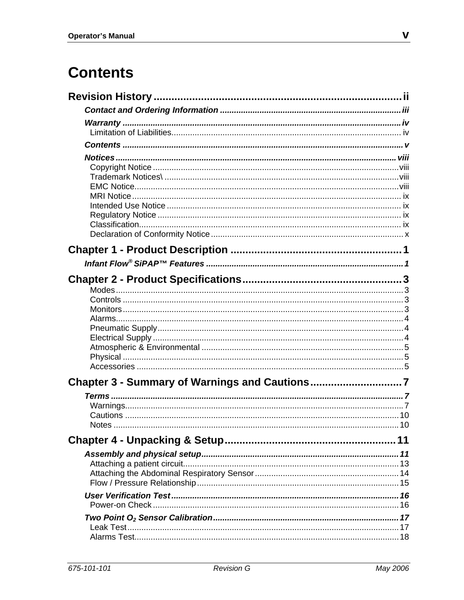### <span id="page-4-0"></span>**Contents**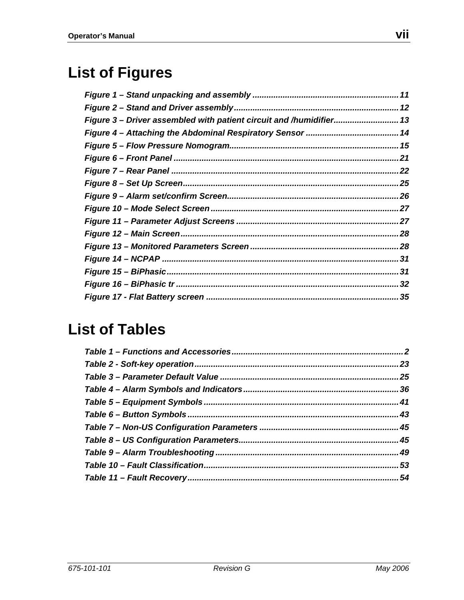## **List of Figures**

| Figure 3 – Driver assembled with patient circuit and /humidifier 13 |  |
|---------------------------------------------------------------------|--|
|                                                                     |  |
|                                                                     |  |
|                                                                     |  |
|                                                                     |  |
|                                                                     |  |
|                                                                     |  |
|                                                                     |  |
|                                                                     |  |
|                                                                     |  |
|                                                                     |  |
|                                                                     |  |
|                                                                     |  |
|                                                                     |  |
|                                                                     |  |

### **List of Tables**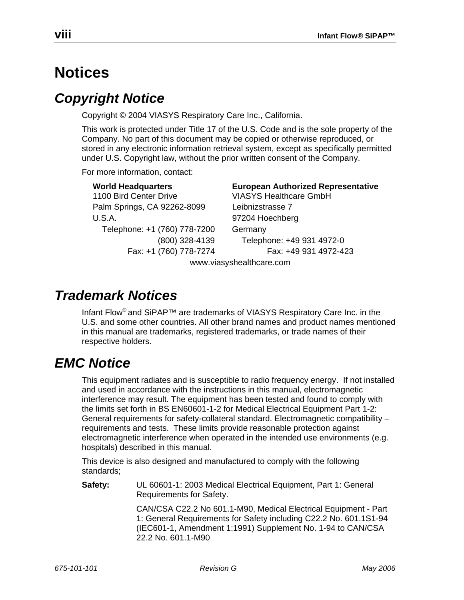### <span id="page-7-0"></span>**Notices**

#### *Copyright Notice*

Copyright © 2004 VIASYS Respiratory Care Inc., California.

This work is protected under Title 17 of the U.S. Code and is the sole property of the Company. No part of this document may be copied or otherwise reproduced, or stored in any electronic information retrieval system, except as specifically permitted under U.S. Copyright law, without the prior written consent of the Company.

For more information, contact:

**World Headquarters European Authorized Representative**  1100 Bird Center Drive VIASYS Healthcare GmbH Palm Springs, CA 92262-8099 Leibnizstrasse 7 U.S.A. 97204 Hoechberg Telephone: +1 (760) 778-7200 Germany (800) 328-4139 Telephone: +49 931 4972-0 Fax: +1 (760) 778-7274 Fax: +49 931 4972-423

www.viasyshealthcare.com

#### *Trademark Notices*

Infant Flow® and SiPAP™ are trademarks of VIASYS Respiratory Care Inc. in the U.S. and some other countries. All other brand names and product names mentioned in this manual are trademarks, registered trademarks, or trade names of their respective holders.

#### *EMC Notice*

This equipment radiates and is susceptible to radio frequency energy. If not installed and used in accordance with the instructions in this manual, electromagnetic interference may result. The equipment has been tested and found to comply with the limits set forth in BS EN60601-1-2 for Medical Electrical Equipment Part 1-2: General requirements for safety-collateral standard. Electromagnetic compatibility – requirements and tests. These limits provide reasonable protection against electromagnetic interference when operated in the intended use environments (e.g. hospitals) described in this manual.

This device is also designed and manufactured to comply with the following standards;

**Safety:** UL 60601-1: 2003 Medical Electrical Equipment, Part 1: General Requirements for Safety.

> CAN/CSA C22.2 No 601.1-M90, Medical Electrical Equipment - Part 1: General Requirements for Safety including C22.2 No. 601.1S1-94 (IEC601-1, Amendment 1:1991) Supplement No. 1-94 to CAN/CSA 22.2 No. 601.1-M90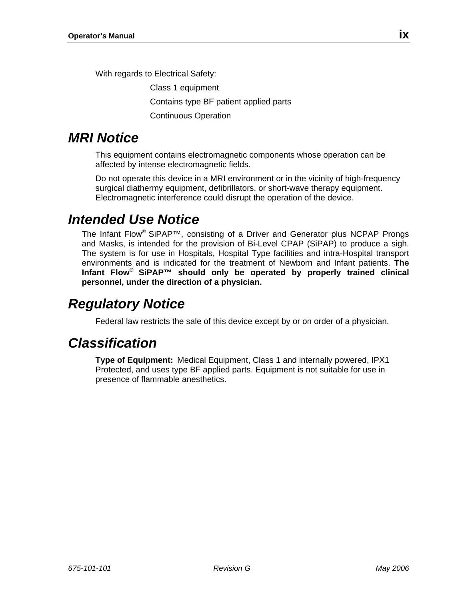<span id="page-8-0"></span>With regards to Electrical Safety:

Class 1 equipment

Contains type BF patient applied parts

Continuous Operation

#### *MRI Notice*

This equipment contains electromagnetic components whose operation can be affected by intense electromagnetic fields.

Do not operate this device in a MRI environment or in the vicinity of high-frequency surgical diathermy equipment, defibrillators, or short-wave therapy equipment. Electromagnetic interference could disrupt the operation of the device.

#### *Intended Use Notice*

The Infant Flow<sup>®</sup> SiPAP<sup>™</sup>, consisting of a Driver and Generator plus NCPAP Prongs and Masks, is intended for the provision of Bi-Level CPAP (SiPAP) to produce a sigh. The system is for use in Hospitals, Hospital Type facilities and intra-Hospital transport environments and is indicated for the treatment of Newborn and Infant patients. **The Infant Flow® SiPAP™ should only be operated by properly trained clinical personnel, under the direction of a physician.** 

#### *Regulatory Notice*

Federal law restricts the sale of this device except by or on order of a physician.

#### *Classification*

**Type of Equipment:** Medical Equipment, Class 1 and internally powered, IPX1 Protected, and uses type BF applied parts. Equipment is not suitable for use in presence of flammable anesthetics.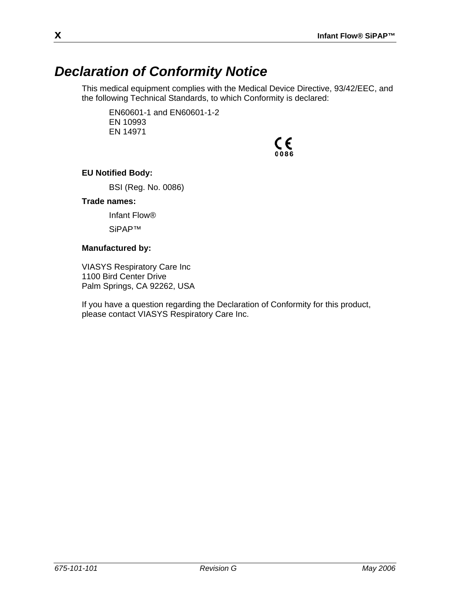#### <span id="page-9-0"></span>*Declaration of Conformity Notice*

This medical equipment complies with the Medical Device Directive, 93/42/EEC, and the following Technical Standards, to which Conformity is declared:

EN60601-1 and EN60601-1-2 EN 10993 EN 14971

 $\zeta_{\text{osc}}$ 

#### **EU Notified Body:**

BSI (Reg. No. 0086)

#### **Trade names:**

Infant Flow®

SiPAP™

#### **Manufactured by:**

VIASYS Respiratory Care Inc 1100 Bird Center Drive Palm Springs, CA 92262, USA

If you have a question regarding the Declaration of Conformity for this product, please contact VIASYS Respiratory Care Inc.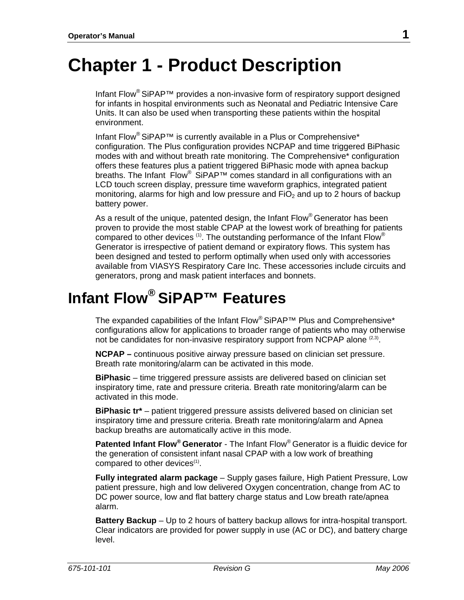## <span id="page-10-0"></span>**Chapter 1 - Product Description**

Infant Flow® SiPAP™ provides a non-invasive form of respiratory support designed for infants in hospital environments such as Neonatal and Pediatric Intensive Care Units. It can also be used when transporting these patients within the hospital environment.

Infant Flow® SiPAP™ is currently available in a Plus or Comprehensive\* configuration. The Plus configuration provides NCPAP and time triggered BiPhasic modes with and without breath rate monitoring. The Comprehensive\* configuration offers these features plus a patient triggered BiPhasic mode with apnea backup breaths. The Infant  $Flow^{\circledast}$  SiPAP<sup>TM</sup> comes standard in all configurations with an LCD touch screen display, pressure time waveform graphics, integrated patient monitoring, alarms for high and low pressure and  $FiO<sub>2</sub>$  and up to 2 hours of backup battery power.

As a result of the unique, patented design, the Infant Flow® Generator has been proven to provide the most stable CPAP at the lowest work of breathing for patients compared to other devices  $(1)$ . The outstanding performance of the Infant Flow<sup>®</sup> Generator is irrespective of patient demand or expiratory flows. This system has been designed and tested to perform optimally when used only with accessories available from VIASYS Respiratory Care Inc. These accessories include circuits and generators, prong and mask patient interfaces and bonnets.

## **Infant Flow® SiPAP™ Features**

The expanded capabilities of the Infant Flow® SiPAP<sup>TM</sup> Plus and Comprehensive\* configurations allow for applications to broader range of patients who may otherwise not be candidates for non-invasive respiratory support from NCPAP alone  $(2,3)$ .

**NCPAP –** continuous positive airway pressure based on clinician set pressure. Breath rate monitoring/alarm can be activated in this mode.

**BiPhasic** – time triggered pressure assists are delivered based on clinician set inspiratory time, rate and pressure criteria. Breath rate monitoring/alarm can be activated in this mode.

**BiPhasic tr\*** – patient triggered pressure assists delivered based on clinician set inspiratory time and pressure criteria. Breath rate monitoring/alarm and Apnea backup breaths are automatically active in this mode.

**Patented Infant Flow® Generator** - The Infant Flow® Generator is a fluidic device for the generation of consistent infant nasal CPAP with a low work of breathing compared to other devices $(1)$ .

**Fully integrated alarm package** – Supply gases failure, High Patient Pressure, Low patient pressure, high and low delivered Oxygen concentration, change from AC to DC power source, low and flat battery charge status and Low breath rate/apnea alarm.

**Battery Backup** – Up to 2 hours of battery backup allows for intra-hospital transport. Clear indicators are provided for power supply in use (AC or DC), and battery charge level.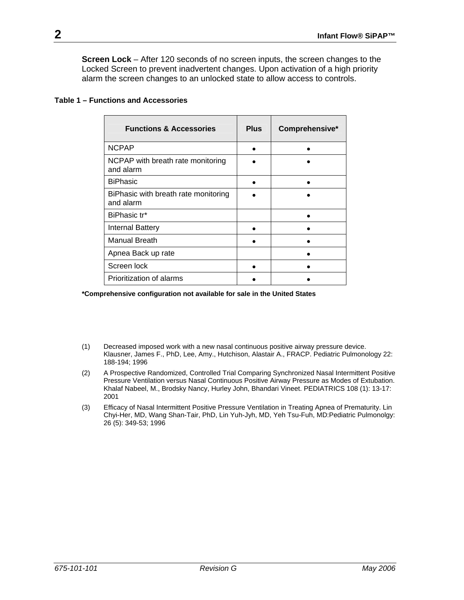<span id="page-11-0"></span>**Screen Lock** – After 120 seconds of no screen inputs, the screen changes to the Locked Screen to prevent inadvertent changes. Upon activation of a high priority alarm the screen changes to an unlocked state to allow access to controls.

#### **Table 1 – Functions and Accessories**

| <b>Functions &amp; Accessories</b>                | <b>Plus</b> | Comprehensive* |
|---------------------------------------------------|-------------|----------------|
| <b>NCPAP</b>                                      |             |                |
| NCPAP with breath rate monitoring<br>and alarm    |             |                |
| <b>BiPhasic</b>                                   |             |                |
| BiPhasic with breath rate monitoring<br>and alarm |             |                |
| BiPhasic tr*                                      |             |                |
| Internal Battery                                  |             |                |
| <b>Manual Breath</b>                              |             |                |
| Apnea Back up rate                                |             |                |
| Screen lock                                       |             |                |
| Prioritization of alarms                          |             |                |

**\*Comprehensive configuration not available for sale in the United States** 

- (1) Decreased imposed work with a new nasal continuous positive airway pressure device. Klausner, James F., PhD, Lee, Amy., Hutchison, Alastair A., FRACP. Pediatric Pulmonology 22: 188-194; 1996
- (2) A Prospective Randomized, Controlled Trial Comparing Synchronized Nasal Intermittent Positive Pressure Ventilation versus Nasal Continuous Positive Airway Pressure as Modes of Extubation. Khalaf Nabeel, M., Brodsky Nancy, Hurley John, Bhandari Vineet. PEDIATRICS 108 (1): 13-17: 2001
- (3) Efficacy of Nasal Intermittent Positive Pressure Ventilation in Treating Apnea of Prematurity. Lin Chyi-Her, MD, Wang Shan-Tair, PhD, Lin Yuh-Jyh, MD, Yeh Tsu-Fuh, MD:Pediatric Pulmonolgy: 26 (5): 349-53; 1996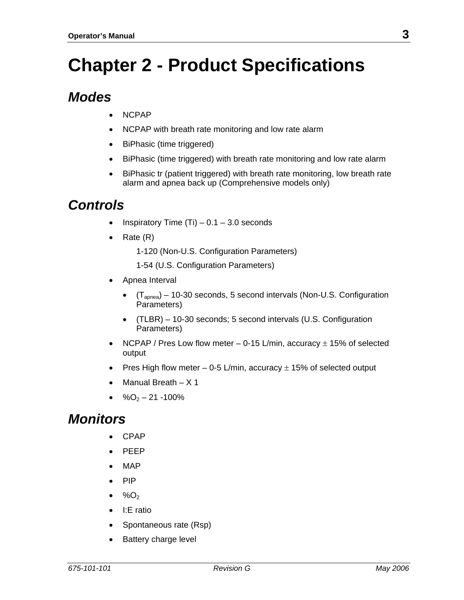## <span id="page-12-0"></span>**Chapter 2 - Product Specifications**

#### *Modes*

- NCPAP
- NCPAP with breath rate monitoring and low rate alarm
- BiPhasic (time triggered)
- BiPhasic (time triggered) with breath rate monitoring and low rate alarm
- BiPhasic tr (patient triggered) with breath rate monitoring, low breath rate alarm and apnea back up (Comprehensive models only)

#### *Controls*

- Inspiratory Time  $(Ti) 0.1 3.0$  seconds
- Rate (R)

1-120 (Non-U.S. Configuration Parameters)

1-54 (U.S. Configuration Parameters)

- Apnea Interval
	- $\bullet$  (T<sub>apnea</sub>) 10-30 seconds, 5 second intervals (Non-U.S. Configuration Parameters)
	- (TLBR) 10-30 seconds; 5 second intervals (U.S. Configuration Parameters)
- NCPAP / Pres Low flow meter 0-15 L/min, accuracy  $\pm$  15% of selected output
- Pres High flow meter 0-5 L/min, accuracy  $\pm$  15% of selected output
- Manual Breath X 1
- $\%O_2 21 100\%$

#### *Monitors*

- CPAP
- PEEP
- MAP
- PIP
- $\bullet$  %O<sub>2</sub>
- I:E ratio
- Spontaneous rate (Rsp)
- Battery charge level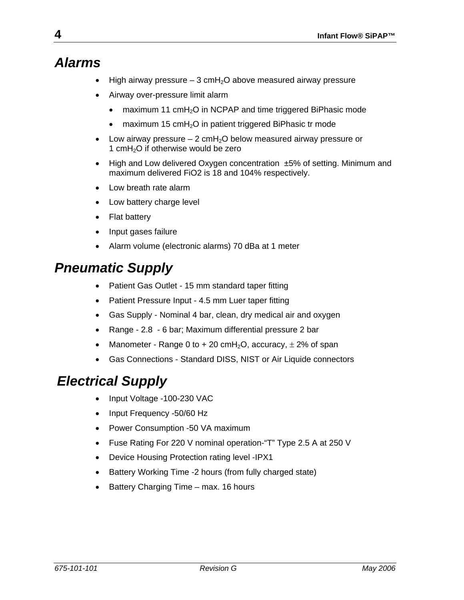#### <span id="page-13-0"></span>*Alarms*

- High airway pressure  $-3$  cmH<sub>2</sub>O above measured airway pressure
- Airway over-pressure limit alarm
	- maximum 11 cmH<sub>2</sub>O in NCPAP and time triggered BiPhasic mode
	- maximum 15  $cmH<sub>2</sub>O$  in patient triggered BiPhasic tr mode
- Low airway pressure  $-2$  cmH<sub>2</sub>O below measured airway pressure or 1  $cmH<sub>2</sub>O$  if otherwise would be zero
- High and Low delivered Oxygen concentration  $±5%$  of setting. Minimum and maximum delivered FiO2 is 18 and 104% respectively.
- Low breath rate alarm
- Low battery charge level
- Flat battery
- Input gases failure
- Alarm volume (electronic alarms) 70 dBa at 1 meter

#### *Pneumatic Supply*

- Patient Gas Outlet 15 mm standard taper fitting
- Patient Pressure Input 4.5 mm Luer taper fitting
- Gas Supply Nominal 4 bar, clean, dry medical air and oxygen
- Range 2.8 6 bar; Maximum differential pressure 2 bar
- Manometer Range 0 to  $+$  20 cmH<sub>2</sub>O, accuracy,  $\pm$  2% of span
- Gas Connections Standard DISS, NIST or Air Liquide connectors

#### *Electrical Supply*

- Input Voltage -100-230 VAC
- Input Frequency -50/60 Hz
- Power Consumption -50 VA maximum
- Fuse Rating For 220 V nominal operation-"T" Type 2.5 A at 250 V
- Device Housing Protection rating level -IPX1
- Battery Working Time -2 hours (from fully charged state)
- Battery Charging Time max. 16 hours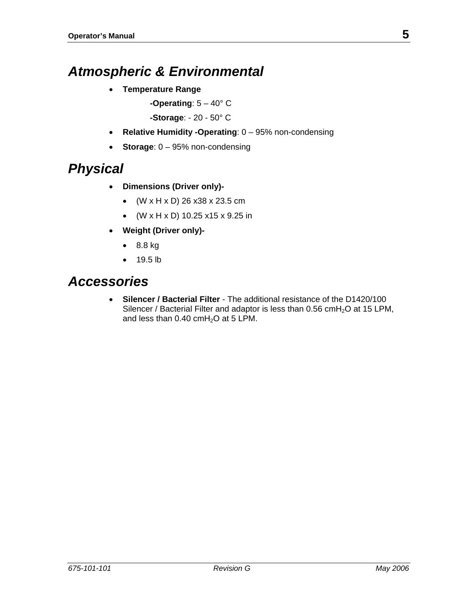#### <span id="page-14-0"></span>*Atmospheric & Environmental*

• **Temperature Range**

**-Operating**: 5 – 40° C

**-Storage**: - 20 - 50° C

- **Relative Humidity -Operating**: 0 95% non-condensing
- **Storage**: 0 95% non-condensing

#### *Physical*

- **Dimensions (Driver only)-**
	- $(W \times H \times D)$  26 x 38 x 23.5 cm
	- (W x H x D) 10.25 x15 x 9.25 in
- **Weight (Driver only)-**
	- 8.8 kg
	- 19.5 lb

#### *Accessories*

• **Silencer / Bacterial Filter** - The additional resistance of the D1420/100 Silencer / Bacterial Filter and adaptor is less than  $0.56$  cmH<sub>2</sub>O at 15 LPM, and less than  $0.40 \text{ cm}$ H<sub>2</sub>O at 5 LPM.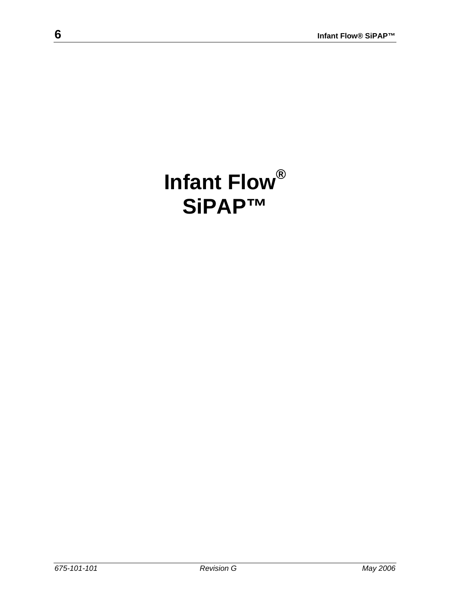## **Infant Flow® SiPAP™**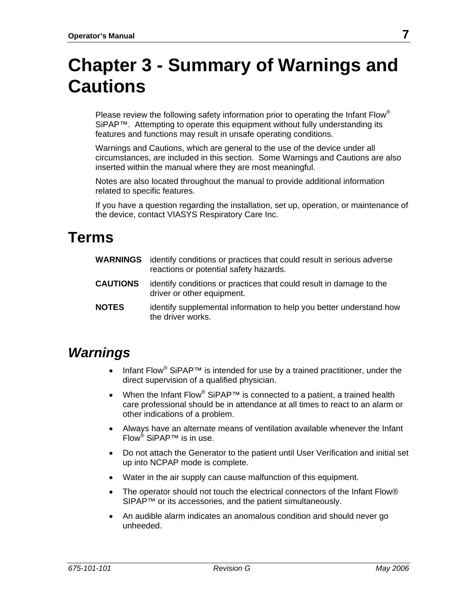## <span id="page-16-0"></span>**Chapter 3 - Summary of Warnings and Cautions**

Please review the following safety information prior to operating the Infant Flow<sup>®</sup> SiPAP<sup>™</sup>. Attempting to operate this equipment without fully understanding its features and functions may result in unsafe operating conditions.

Warnings and Cautions, which are general to the use of the device under all circumstances, are included in this section. Some Warnings and Cautions are also inserted within the manual where they are most meaningful.

Notes are also located throughout the manual to provide additional information related to specific features.

If you have a question regarding the installation, set up, operation, or maintenance of the device, contact VIASYS Respiratory Care Inc.

#### **Terms**

| <b>WARNINGS</b> | identify conditions or practices that could result in serious adverse<br>reactions or potential safety hazards. |
|-----------------|-----------------------------------------------------------------------------------------------------------------|
| <b>CAUTIONS</b> | identify conditions or practices that could result in damage to the<br>driver or other equipment.               |
| <b>NOTES</b>    | identify supplemental information to help you better understand how<br>the driver works.                        |

#### *Warnings*

- Infant Flow<sup>®</sup> SiPAP<sup>TM</sup> is intended for use by a trained practitioner, under the direct supervision of a qualified physician.
- When the Infant Flow<sup>®</sup> SiPAP<sup>™</sup> is connected to a patient, a trained health care professional should be in attendance at all times to react to an alarm or other indications of a problem.
- Always have an alternate means of ventilation available whenever the Infant Flow® SiPAP™ is in use.
- Do not attach the Generator to the patient until User Verification and initial set up into NCPAP mode is complete.
- Water in the air supply can cause malfunction of this equipment.
- The operator should not touch the electrical connectors of the Infant Flow® SIPAP™ or its accessories, and the patient simultaneously.
- An audible alarm indicates an anomalous condition and should never go unheeded.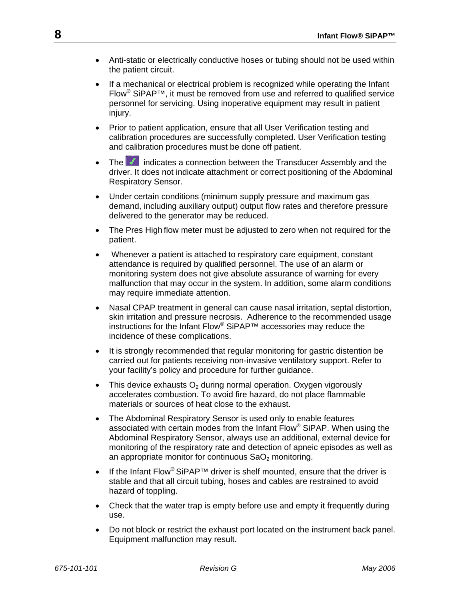- Anti-static or electrically conductive hoses or tubing should not be used within the patient circuit.
- If a mechanical or electrical problem is recognized while operating the Infant Flow® SiPAP™, it must be removed from use and referred to qualified service personnel for servicing. Using inoperative equipment may result in patient injury.
- Prior to patient application, ensure that all User Verification testing and calibration procedures are successfully completed. User Verification testing and calibration procedures must be done off patient.
- The  $\blacksquare$  indicates a connection between the Transducer Assembly and the driver. It does not indicate attachment or correct positioning of the Abdominal Respiratory Sensor.
- Under certain conditions (minimum supply pressure and maximum gas demand, including auxiliary output) output flow rates and therefore pressure delivered to the generator may be reduced.
- The Pres High flow meter must be adjusted to zero when not required for the patient.
- Whenever a patient is attached to respiratory care equipment, constant attendance is required by qualified personnel. The use of an alarm or monitoring system does not give absolute assurance of warning for every malfunction that may occur in the system. In addition, some alarm conditions may require immediate attention.
- Nasal CPAP treatment in general can cause nasal irritation, septal distortion, skin irritation and pressure necrosis. Adherence to the recommended usage instructions for the Infant Flow® SiPAP™ accessories may reduce the incidence of these complications.
- It is strongly recommended that regular monitoring for gastric distention be carried out for patients receiving non-invasive ventilatory support. Refer to your facility's policy and procedure for further guidance.
- This device exhausts  $O<sub>2</sub>$  during normal operation. Oxygen vigorously accelerates combustion. To avoid fire hazard, do not place flammable materials or sources of heat close to the exhaust.
- The Abdominal Respiratory Sensor is used only to enable features associated with certain modes from the Infant Flow® SiPAP. When using the Abdominal Respiratory Sensor, always use an additional, external device for monitoring of the respiratory rate and detection of apneic episodes as well as an appropriate monitor for continuous  $a_2$  monitoring.
- If the Infant Flow<sup>®</sup> SiPAP<sup>TM</sup> driver is shelf mounted, ensure that the driver is stable and that all circuit tubing, hoses and cables are restrained to avoid hazard of toppling.
- Check that the water trap is empty before use and empty it frequently during use.
- Do not block or restrict the exhaust port located on the instrument back panel. Equipment malfunction may result.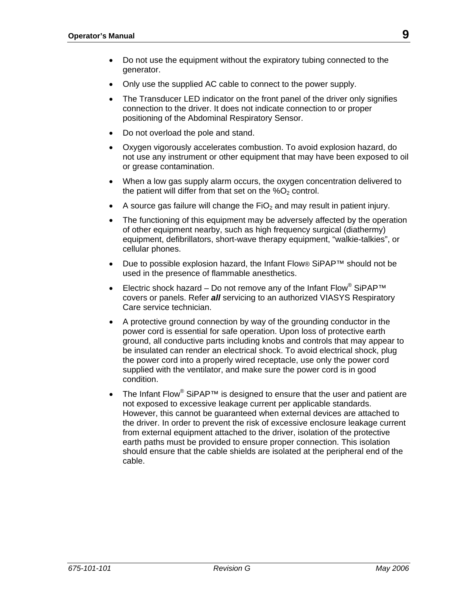- Do not use the equipment without the expiratory tubing connected to the generator.
- Only use the supplied AC cable to connect to the power supply.
- The Transducer LED indicator on the front panel of the driver only signifies connection to the driver. It does not indicate connection to or proper positioning of the Abdominal Respiratory Sensor.
- Do not overload the pole and stand.
- Oxygen vigorously accelerates combustion. To avoid explosion hazard, do not use any instrument or other equipment that may have been exposed to oil or grease contamination.
- When a low gas supply alarm occurs, the oxygen concentration delivered to the patient will differ from that set on the  $%O<sub>2</sub>$  control.
- A source gas failure will change the  $FiO<sub>2</sub>$  and may result in patient injury.
- The functioning of this equipment may be adversely affected by the operation of other equipment nearby, such as high frequency surgical (diathermy) equipment, defibrillators, short-wave therapy equipment, "walkie-talkies", or cellular phones.
- Due to possible explosion hazard, the Infant Flow® SiPAP™ should not be used in the presence of flammable anesthetics.
- Electric shock hazard Do not remove any of the Infant Flow<sup>®</sup> SiPAP<sup>TM</sup> covers or panels. Refer *all* servicing to an authorized VIASYS Respiratory Care service technician.
- A protective ground connection by way of the grounding conductor in the power cord is essential for safe operation. Upon loss of protective earth ground, all conductive parts including knobs and controls that may appear to be insulated can render an electrical shock. To avoid electrical shock, plug the power cord into a properly wired receptacle, use only the power cord supplied with the ventilator, and make sure the power cord is in good condition.
- The Infant Flow® SiPAP<sup>™</sup> is designed to ensure that the user and patient are not exposed to excessive leakage current per applicable standards. However, this cannot be guaranteed when external devices are attached to the driver. In order to prevent the risk of excessive enclosure leakage current from external equipment attached to the driver, isolation of the protective earth paths must be provided to ensure proper connection. This isolation should ensure that the cable shields are isolated at the peripheral end of the cable.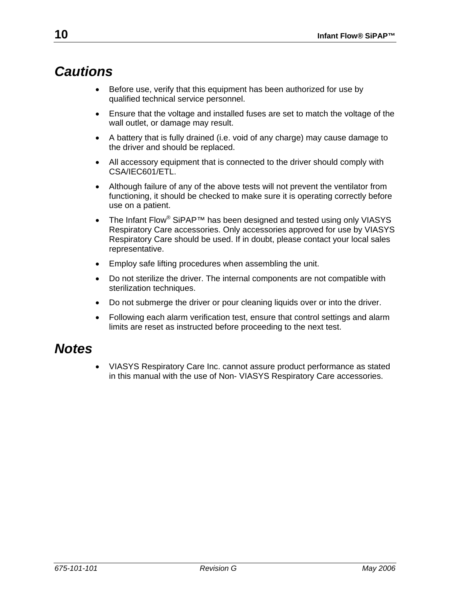#### <span id="page-19-0"></span>*Cautions*

- Before use, verify that this equipment has been authorized for use by qualified technical service personnel.
- Ensure that the voltage and installed fuses are set to match the voltage of the wall outlet, or damage may result.
- A battery that is fully drained (i.e. void of any charge) may cause damage to the driver and should be replaced.
- All accessory equipment that is connected to the driver should comply with CSA/IEC601/ETL.
- Although failure of any of the above tests will not prevent the ventilator from functioning, it should be checked to make sure it is operating correctly before use on a patient.
- The Infant Flow<sup>®</sup> SiPAP<sup>™</sup> has been designed and tested using only VIASYS Respiratory Care accessories. Only accessories approved for use by VIASYS Respiratory Care should be used. If in doubt, please contact your local sales representative.
- Employ safe lifting procedures when assembling the unit.
- Do not sterilize the driver. The internal components are not compatible with sterilization techniques.
- Do not submerge the driver or pour cleaning liquids over or into the driver.
- Following each alarm verification test, ensure that control settings and alarm limits are reset as instructed before proceeding to the next test.

#### *Notes*

• VIASYS Respiratory Care Inc. cannot assure product performance as stated in this manual with the use of Non- VIASYS Respiratory Care accessories.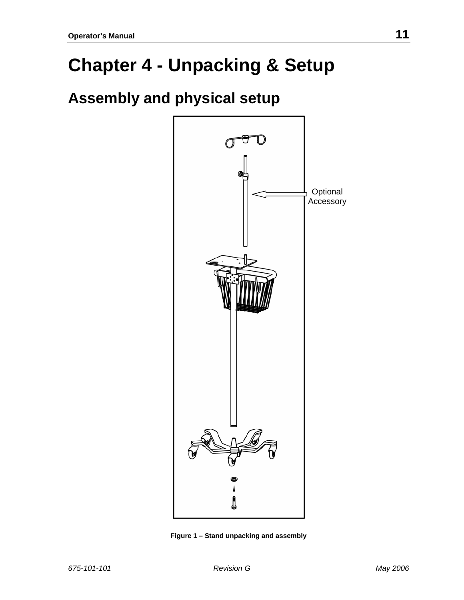## <span id="page-20-0"></span>**Chapter 4 - Unpacking & Setup**

## **Assembly and physical setup**



**Figure 1 – Stand unpacking and assembly**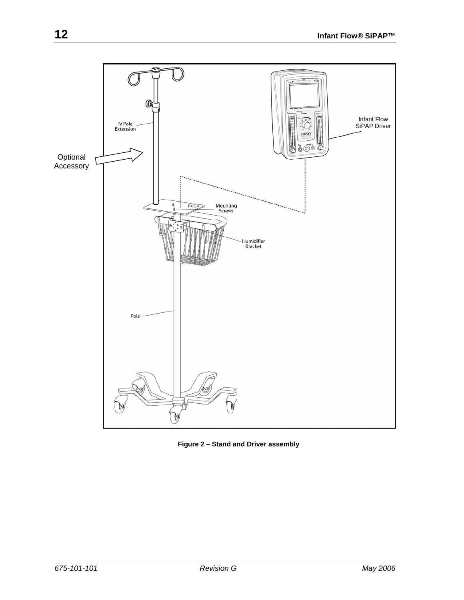<span id="page-21-0"></span>

**Figure 2 – Stand and Driver assembly**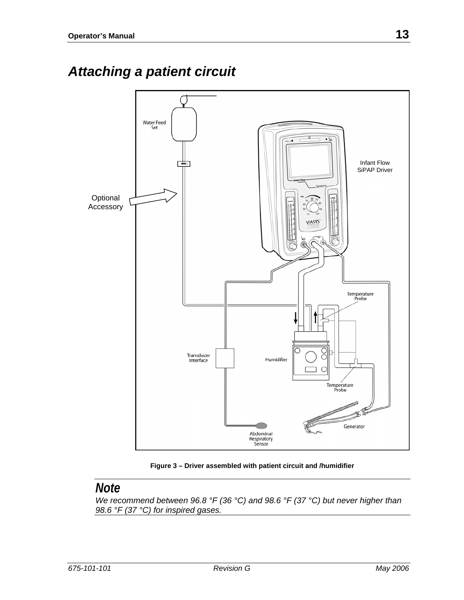<span id="page-22-0"></span>

**Figure 3 – Driver assembled with patient circuit and /humidifier** 

#### *Note*

*We recommend between 96.8 °F (36 °C) and 98.6 °F (37 °C) but never higher than 98.6 °F (37 °C) for inspired gases.*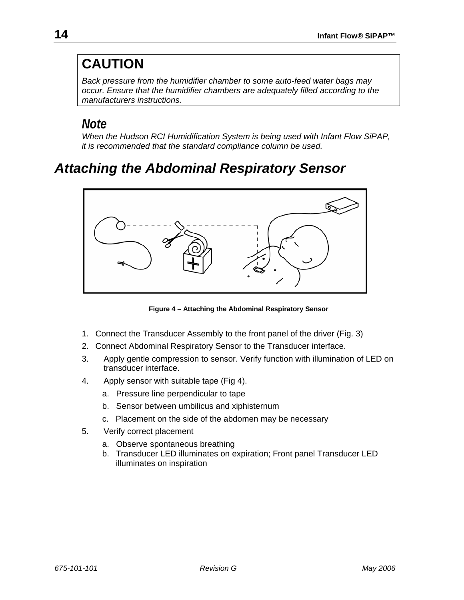### <span id="page-23-0"></span>**CAUTION**

*Back pressure from the humidifier chamber to some auto-feed water bags may occur. Ensure that the humidifier chambers are adequately filled according to the manufacturers instructions.* 

#### *Note*

*When the Hudson RCI Humidification System is being used with Infant Flow SiPAP, it is recommended that the standard compliance column be used.* 

#### *Attaching the Abdominal Respiratory Sensor*



**Figure 4 – Attaching the Abdominal Respiratory Sensor** 

- 1. Connect the Transducer Assembly to the front panel of the driver (Fig. 3)
- 2. Connect Abdominal Respiratory Sensor to the Transducer interface.
- 3. Apply gentle compression to sensor. Verify function with illumination of LED on transducer interface.
- 4. Apply sensor with suitable tape (Fig 4).
	- a. Pressure line perpendicular to tape
	- b. Sensor between umbilicus and xiphisternum
	- c. Placement on the side of the abdomen may be necessary
- 5. Verify correct placement
	- a. Observe spontaneous breathing
	- b. Transducer LED illuminates on expiration; Front panel Transducer LED illuminates on inspiration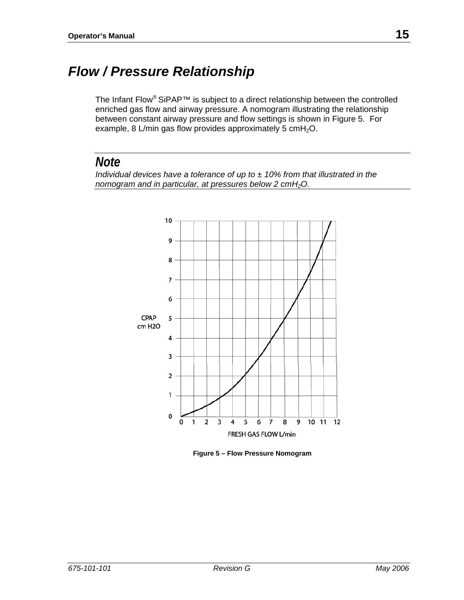### <span id="page-24-0"></span>*Flow / Pressure Relationship*

The Infant Flow® SiPAP™ is subject to a direct relationship between the controlled enriched gas flow and airway pressure. A nomogram illustrating the relationship between constant airway pressure and flow settings is shown in Figure 5. For example, 8 L/min gas flow provides approximately 5  $cmH<sub>2</sub>O$ .

#### *Note*

*Individual devices have a tolerance of up to ± 10% from that illustrated in the nomogram and in particular, at pressures below 2 cmH2O.* 



**Figure 5 – Flow Pressure Nomogram**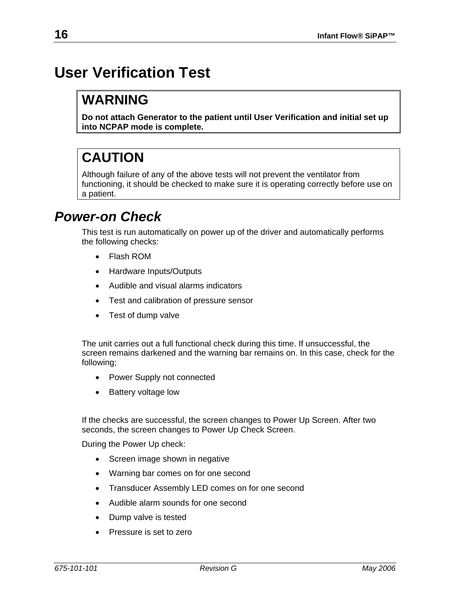### <span id="page-25-0"></span>**User Verification Test**

#### **WARNING**

**Do not attach Generator to the patient until User Verification and initial set up into NCPAP mode is complete.** 

#### **CAUTION**

Although failure of any of the above tests will not prevent the ventilator from functioning, it should be checked to make sure it is operating correctly before use on a patient.

#### *Power-on Check*

This test is run automatically on power up of the driver and automatically performs the following checks:

- Flash ROM
- Hardware Inputs/Outputs
- Audible and visual alarms indicators
- Test and calibration of pressure sensor
- Test of dump valve

The unit carries out a full functional check during this time. If unsuccessful, the screen remains darkened and the warning bar remains on. In this case, check for the following;

- Power Supply not connected
- Battery voltage low

If the checks are successful, the screen changes to Power Up Screen. After two seconds, the screen changes to Power Up Check Screen.

During the Power Up check:

- Screen image shown in negative
- Warning bar comes on for one second
- Transducer Assembly LED comes on for one second
- Audible alarm sounds for one second
- Dump valve is tested
- Pressure is set to zero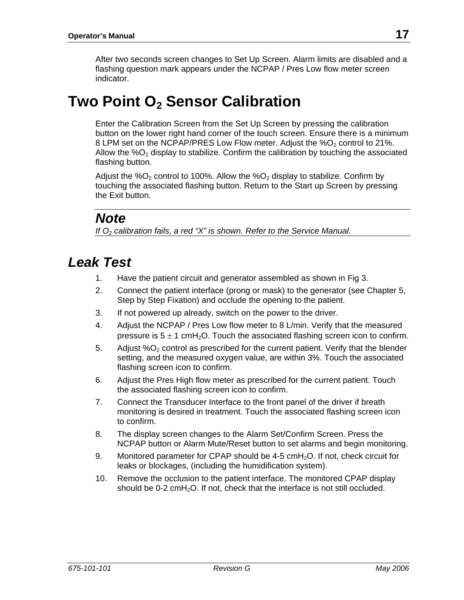<span id="page-26-0"></span>After two seconds screen changes to Set Up Screen. Alarm limits are disabled and a flashing question mark appears under the NCPAP / Pres Low flow meter screen indicator.

### **Two Point O<sub>2</sub> Sensor Calibration**

Enter the Calibration Screen from the Set Up Screen by pressing the calibration button on the lower right hand corner of the touch screen. Ensure there is a minimum 8 LPM set on the NCPAP/PRES Low Flow meter. Adjust the  $%O<sub>2</sub>$  control to 21%. Allow the  $\%O_2$  display to stabilize. Confirm the calibration by touching the associated flashing button.

Adjust the  $%O<sub>2</sub>$  control to 100%. Allow the  $%O<sub>2</sub>$  display to stabilize. Confirm by touching the associated flashing button. Return to the Start up Screen by pressing the Exit button.

#### *Note*

*If O<sub>2</sub> calibration fails, a red "X" is shown. Refer to the Service Manual.* 

#### *Leak Test*

- 1. Have the patient circuit and generator assembled as shown in Fig 3.
- 2. Connect the patient interface (prong or mask) to the generator (see Chapter 5, Step by Step Fixation) and occlude the opening to the patient.
- 3. If not powered up already, switch on the power to the driver.
- 4. Adjust the NCPAP / Pres Low flow meter to 8 L/min. Verify that the measured pressure is  $5 \pm 1$  cmH<sub>2</sub>O. Touch the associated flashing screen icon to confirm.
- 5. Adjust  $%O<sub>2</sub>$  control as prescribed for the current patient. Verify that the blender setting, and the measured oxygen value, are within 3%. Touch the associated flashing screen icon to confirm.
- 6. Adjust the Pres High flow meter as prescribed for the current patient. Touch the associated flashing screen icon to confirm.
- 7. Connect the Transducer Interface to the front panel of the driver if breath monitoring is desired in treatment. Touch the associated flashing screen icon to confirm.
- 8. The display screen changes to the Alarm Set/Confirm Screen. Press the NCPAP button or Alarm Mute/Reset button to set alarms and begin monitoring.
- 9. Monitored parameter for CPAP should be  $4-5$  cmH<sub>2</sub>O. If not, check circuit for leaks or blockages, (including the humidification system).
- 10. Remove the occlusion to the patient interface. The monitored CPAP display should be 0-2  $cmH<sub>2</sub>O$ . If not, check that the interface is not still occluded.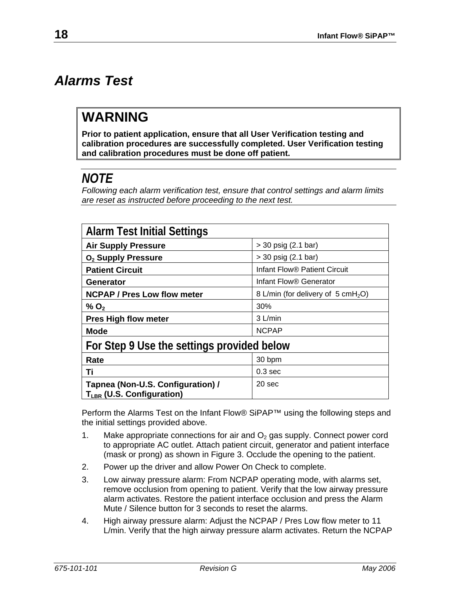#### <span id="page-27-0"></span>*Alarms Test*

#### **WARNING**

**Prior to patient application, ensure that all User Verification testing and calibration procedures are successfully completed. User Verification testing and calibration procedures must be done off patient.** 

#### *NOTE*

*Following each alarm verification test, ensure that control settings and alarm limits are reset as instructed before proceeding to the next test.* 

| <b>Alarm Test Initial Settings</b>                                         |                                                |  |  |  |
|----------------------------------------------------------------------------|------------------------------------------------|--|--|--|
| <b>Air Supply Pressure</b>                                                 | > 30 psig (2.1 bar)                            |  |  |  |
| O <sub>2</sub> Supply Pressure                                             | > 30 psig (2.1 bar)                            |  |  |  |
| <b>Patient Circuit</b>                                                     | Infant Flow® Patient Circuit                   |  |  |  |
| <b>Generator</b>                                                           | Infant Flow® Generator                         |  |  |  |
| <b>NCPAP / Pres Low flow meter</b>                                         | 8 L/min (for delivery of 5 cmH <sub>2</sub> O) |  |  |  |
| % $O2$                                                                     | 30%                                            |  |  |  |
| <b>Pres High flow meter</b>                                                | $3$ L/min                                      |  |  |  |
| <b>Mode</b>                                                                | <b>NCPAP</b>                                   |  |  |  |
| For Step 9 Use the settings provided below                                 |                                                |  |  |  |
| Rate                                                                       | 30 bpm                                         |  |  |  |
| Τi                                                                         | 0.3 <sub>sec</sub>                             |  |  |  |
| Tapnea (Non-U.S. Configuration) /<br>T <sub>LBR</sub> (U.S. Configuration) | 20 sec                                         |  |  |  |

Perform the Alarms Test on the Infant Flow® SiPAP™ using the following steps and the initial settings provided above.

- 1. Make appropriate connections for air and  $O<sub>2</sub>$  gas supply. Connect power cord to appropriate AC outlet. Attach patient circuit, generator and patient interface (mask or prong) as shown in Figure 3. Occlude the opening to the patient.
- 2. Power up the driver and allow Power On Check to complete.
- 3. Low airway pressure alarm: From NCPAP operating mode, with alarms set, remove occlusion from opening to patient. Verify that the low airway pressure alarm activates. Restore the patient interface occlusion and press the Alarm Mute / Silence button for 3 seconds to reset the alarms.
- 4. High airway pressure alarm: Adjust the NCPAP / Pres Low flow meter to 11 L/min. Verify that the high airway pressure alarm activates. Return the NCPAP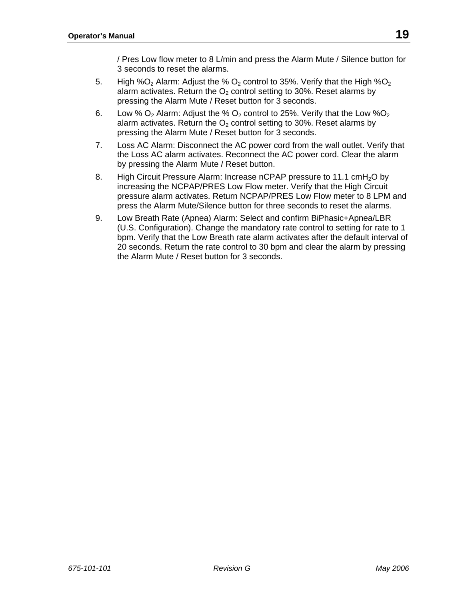/ Pres Low flow meter to 8 L/min and press the Alarm Mute / Silence button for 3 seconds to reset the alarms.

- 5. High %O<sub>2</sub> Alarm: Adjust the % O<sub>2</sub> control to 35%. Verify that the High %O<sub>2</sub> alarm activates. Return the  $O<sub>2</sub>$  control setting to 30%. Reset alarms by pressing the Alarm Mute / Reset button for 3 seconds.
- 6. Low %  $O_2$  Alarm: Adjust the %  $O_2$  control to 25%. Verify that the Low %  $O_2$ alarm activates. Return the  $O<sub>2</sub>$  control setting to 30%. Reset alarms by pressing the Alarm Mute / Reset button for 3 seconds.
- 7. Loss AC Alarm: Disconnect the AC power cord from the wall outlet. Verify that the Loss AC alarm activates. Reconnect the AC power cord. Clear the alarm by pressing the Alarm Mute / Reset button.
- 8. High Circuit Pressure Alarm: Increase nCPAP pressure to 11.1 cmH<sub>2</sub>O by increasing the NCPAP/PRES Low Flow meter. Verify that the High Circuit pressure alarm activates. Return NCPAP/PRES Low Flow meter to 8 LPM and press the Alarm Mute/Silence button for three seconds to reset the alarms.
- 9. Low Breath Rate (Apnea) Alarm: Select and confirm BiPhasic+Apnea/LBR (U.S. Configuration). Change the mandatory rate control to setting for rate to 1 bpm. Verify that the Low Breath rate alarm activates after the default interval of 20 seconds. Return the rate control to 30 bpm and clear the alarm by pressing the Alarm Mute / Reset button for 3 seconds.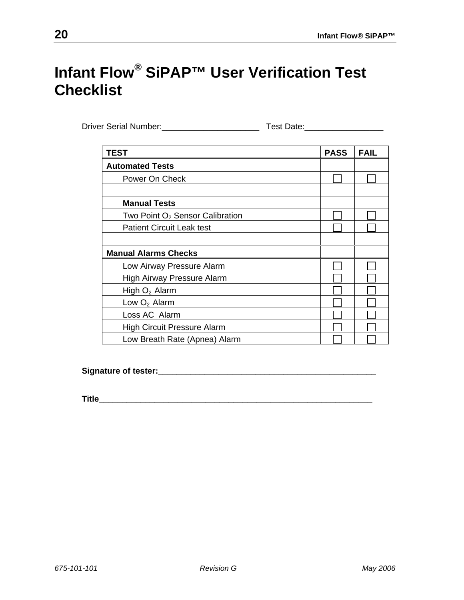<span id="page-29-0"></span>Driver Serial Number:\_\_\_\_\_\_\_\_\_\_\_\_\_\_\_\_\_\_\_\_\_ Test Date:\_\_\_\_\_\_\_\_\_\_\_\_\_\_\_\_\_

| TEST                                        | <b>PASS</b> | FAIL |
|---------------------------------------------|-------------|------|
| <b>Automated Tests</b>                      |             |      |
| Power On Check                              |             |      |
|                                             |             |      |
| <b>Manual Tests</b>                         |             |      |
| Two Point O <sub>2</sub> Sensor Calibration |             |      |
| <b>Patient Circuit Leak test</b>            |             |      |
|                                             |             |      |
| <b>Manual Alarms Checks</b>                 |             |      |
| Low Airway Pressure Alarm                   |             |      |
| High Airway Pressure Alarm                  |             |      |
| High $O2$ Alarm                             |             |      |
| Low $O2$ Alarm                              |             |      |
| Loss AC Alarm                               |             |      |
| <b>High Circuit Pressure Alarm</b>          |             |      |
| Low Breath Rate (Apnea) Alarm               |             |      |

**Signature of tester:\_\_\_\_\_\_\_\_\_\_\_\_\_\_\_\_\_\_\_\_\_\_\_\_\_\_\_\_\_\_\_\_\_\_\_\_\_\_\_\_\_\_\_\_\_\_\_** 

**Title\_\_\_\_\_\_\_\_\_\_\_\_\_\_\_\_\_\_\_\_\_\_\_\_\_\_\_\_\_\_\_\_\_\_\_\_\_\_\_\_\_\_\_\_\_\_\_\_\_\_\_\_\_\_\_\_\_\_\_**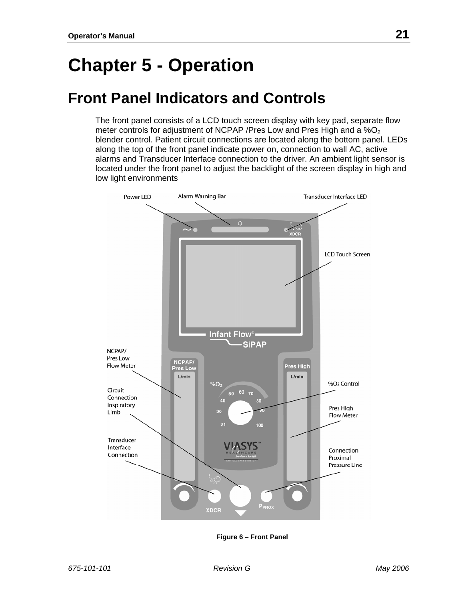## <span id="page-30-0"></span>**Chapter 5 - Operation**

### **Front Panel Indicators and Controls**

The front panel consists of a LCD touch screen display with key pad, separate flow meter controls for adjustment of NCPAP /Pres Low and Pres High and a  $%O<sub>2</sub>$ blender control. Patient circuit connections are located along the bottom panel. LEDs along the top of the front panel indicate power on, connection to wall AC, active alarms and Transducer Interface connection to the driver. An ambient light sensor is located under the front panel to adjust the backlight of the screen display in high and low light environments



**Figure 6 – Front Panel**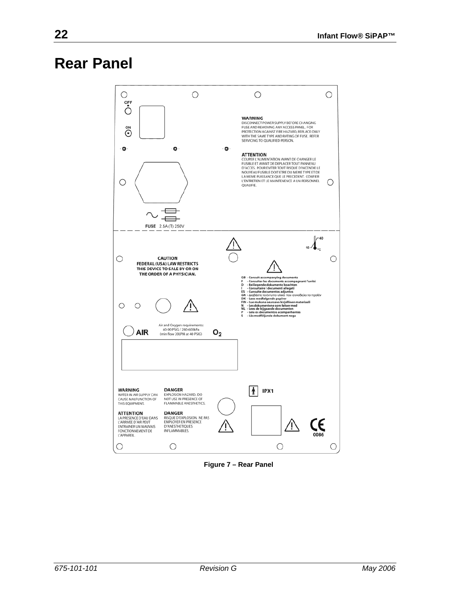#### <span id="page-31-0"></span>**Rear Panel**



**Figure 7 – Rear Panel**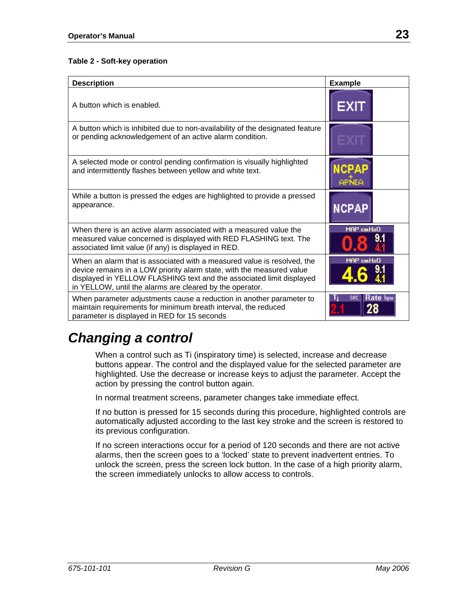#### <span id="page-32-0"></span>**Table 2 - Soft-key operation**

| <b>Description</b>                                                                                                                                                                                                                                                                   | <b>Example</b>         |
|--------------------------------------------------------------------------------------------------------------------------------------------------------------------------------------------------------------------------------------------------------------------------------------|------------------------|
| A button which is enabled.                                                                                                                                                                                                                                                           | EXIT                   |
| A button which is inhibited due to non-availability of the designated feature<br>or pending acknowledgement of an active alarm condition.                                                                                                                                            |                        |
| A selected mode or control pending confirmation is visually highlighted<br>and intermittently flashes between yellow and white text.                                                                                                                                                 | APNEA                  |
| While a button is pressed the edges are highlighted to provide a pressed<br>appearance.                                                                                                                                                                                              | <b>NCPAP</b>           |
| When there is an active alarm associated with a measured value the<br>measured value concerned is displayed with RED FLASHING text. The<br>associated limit value (if any) is displayed in RED.                                                                                      | MAP cmH2O              |
| When an alarm that is associated with a measured value is resolved, the<br>device remains in a LOW priority alarm state, with the measured value<br>displayed in YELLOW FLASHING text and the associated limit displayed<br>in YELLOW, until the alarms are cleared by the operator. | MAP cmH <sub>2</sub> O |
| When parameter adjustments cause a reduction in another parameter to<br>maintain requirements for minimum breath interval, the reduced<br>parameter is displayed in RED for 15 seconds                                                                                               | Rate bpm<br>sec        |

#### *Changing a control*

When a control such as Ti (inspiratory time) is selected, increase and decrease buttons appear. The control and the displayed value for the selected parameter are highlighted. Use the decrease or increase keys to adjust the parameter. Accept the action by pressing the control button again.

In normal treatment screens, parameter changes take immediate effect.

If no button is pressed for 15 seconds during this procedure, highlighted controls are automatically adjusted according to the last key stroke and the screen is restored to its previous configuration.

If no screen interactions occur for a period of 120 seconds and there are not active alarms, then the screen goes to a 'locked' state to prevent inadvertent entries. To unlock the screen, press the screen lock button. In the case of a high priority alarm, the screen immediately unlocks to allow access to controls.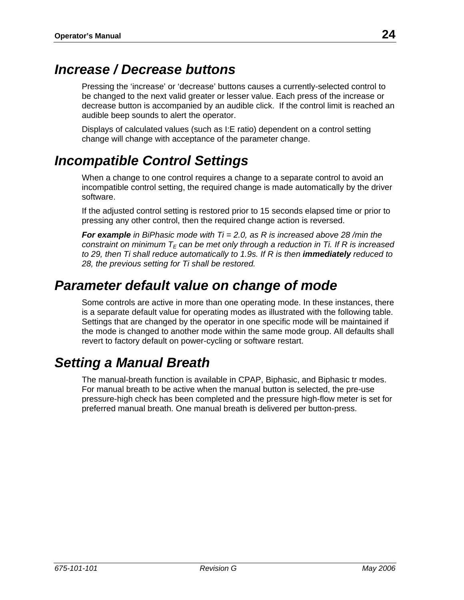#### <span id="page-33-0"></span>*Increase / Decrease buttons*

Pressing the 'increase' or 'decrease' buttons causes a currently-selected control to be changed to the next valid greater or lesser value. Each press of the increase or decrease button is accompanied by an audible click. If the control limit is reached an audible beep sounds to alert the operator.

Displays of calculated values (such as I:E ratio) dependent on a control setting change will change with acceptance of the parameter change.

#### *Incompatible Control Settings*

When a change to one control requires a change to a separate control to avoid an incompatible control setting, the required change is made automatically by the driver software.

If the adjusted control setting is restored prior to 15 seconds elapsed time or prior to pressing any other control, then the required change action is reversed.

*For example in BiPhasic mode with Ti = 2.0, as R is increased above 28 /min the constraint on minimum*  $T<sub>E</sub>$  can be met only through a reduction in Ti. If R is increased *to 29, then Ti shall reduce automatically to 1.9s. If R is then immediately reduced to 28, the previous setting for Ti shall be restored.* 

#### *Parameter default value on change of mode*

Some controls are active in more than one operating mode. In these instances, there is a separate default value for operating modes as illustrated with the following table. Settings that are changed by the operator in one specific mode will be maintained if the mode is changed to another mode within the same mode group. All defaults shall revert to factory default on power-cycling or software restart.

#### *Setting a Manual Breath*

The manual-breath function is available in CPAP, Biphasic, and Biphasic tr modes. For manual breath to be active when the manual button is selected, the pre-use pressure-high check has been completed and the pressure high-flow meter is set for preferred manual breath. One manual breath is delivered per button-press.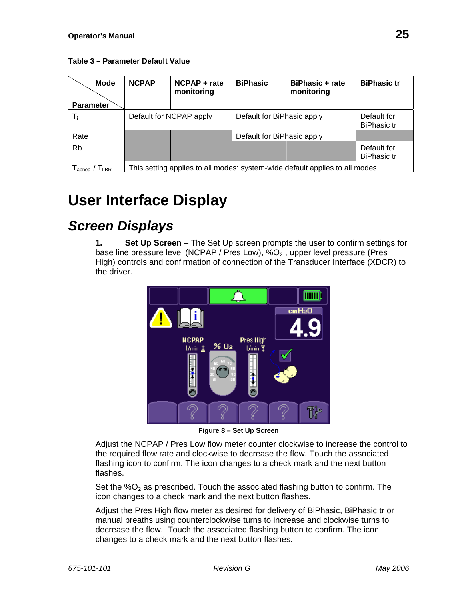#### <span id="page-34-0"></span>**Table 3 – Parameter Default Value**

| <b>Mode</b><br><b>Parameter</b> | <b>NCPAP</b>                                                                | $NCPAP + rate$<br>monitoring | <b>BiPhasic</b>            | <b>BiPhasic + rate</b><br>monitoring | <b>BiPhasic tr</b>                |
|---------------------------------|-----------------------------------------------------------------------------|------------------------------|----------------------------|--------------------------------------|-----------------------------------|
| T.                              |                                                                             | Default for NCPAP apply      | Default for BiPhasic apply |                                      | Default for<br><b>BiPhasic tr</b> |
| Rate                            |                                                                             |                              | Default for BiPhasic apply |                                      |                                   |
| <b>Rb</b>                       |                                                                             |                              |                            |                                      | Default for<br><b>BiPhasic tr</b> |
| $I_{IBR}$<br>apnea              | This setting applies to all modes: system-wide default applies to all modes |                              |                            |                                      |                                   |

### **User Interface Display**

#### *Screen Displays*

**1. Set Up Screen** – The Set Up screen prompts the user to confirm settings for base line pressure level (NCPAP / Pres Low),  $\%O<sub>2</sub>$ , upper level pressure (Pres High) controls and confirmation of connection of the Transducer Interface (XDCR) to the driver.



**Figure 8 – Set Up Screen**

Adjust the NCPAP / Pres Low flow meter counter clockwise to increase the control to the required flow rate and clockwise to decrease the flow. Touch the associated flashing icon to confirm. The icon changes to a check mark and the next button flashes.

Set the  $%O<sub>2</sub>$  as prescribed. Touch the associated flashing button to confirm. The icon changes to a check mark and the next button flashes.

Adjust the Pres High flow meter as desired for delivery of BiPhasic, BiPhasic tr or manual breaths using counterclockwise turns to increase and clockwise turns to decrease the flow. Touch the associated flashing button to confirm. The icon changes to a check mark and the next button flashes.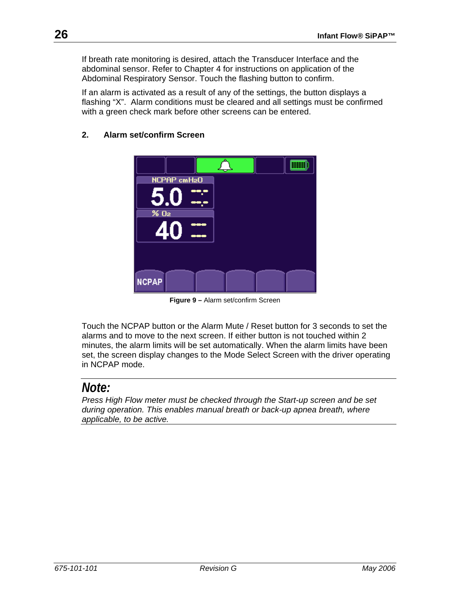<span id="page-35-0"></span>If breath rate monitoring is desired, attach the Transducer Interface and the abdominal sensor. Refer to Chapter 4 for instructions on application of the Abdominal Respiratory Sensor. Touch the flashing button to confirm.

If an alarm is activated as a result of any of the settings, the button displays a flashing "X". Alarm conditions must be cleared and all settings must be confirmed with a green check mark before other screens can be entered.



#### **2. Alarm set/confirm Screen**

**Figure 9 –** Alarm set/confirm Screen

Touch the NCPAP button or the Alarm Mute / Reset button for 3 seconds to set the alarms and to move to the next screen. If either button is not touched within 2 minutes, the alarm limits will be set automatically. When the alarm limits have been set, the screen display changes to the Mode Select Screen with the driver operating in NCPAP mode.

#### *Note:*

*Press High Flow meter must be checked through the Start-up screen and be set during operation. This enables manual breath or back-up apnea breath, where applicable, to be active.*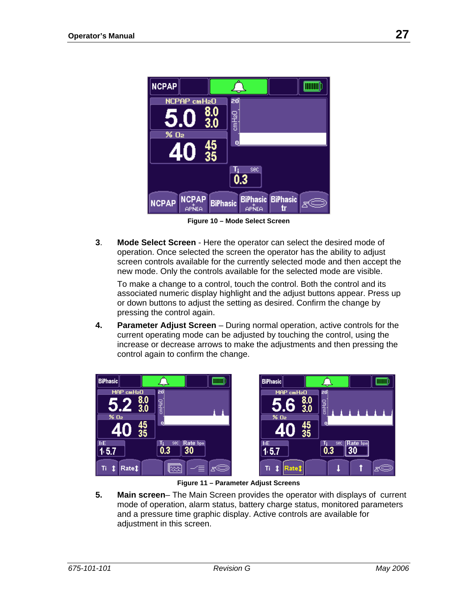

**Figure 10 – Mode Select Screen**

**3**. **Mode Select Screen** - Here the operator can select the desired mode of operation. Once selected the screen the operator has the ability to adjust screen controls available for the currently selected mode and then accept the new mode. Only the controls available for the selected mode are visible.

 To make a change to a control, touch the control. Both the control and its associated numeric display highlight and the adjust buttons appear. Press up or down buttons to adjust the setting as desired. Confirm the change by pressing the control again.

**4. Parameter Adjust Screen** – During normal operation, active controls for the current operating mode can be adjusted by touching the control, using the increase or decrease arrows to make the adjustments and then pressing the control again to confirm the change.



**Figure 11 – Parameter Adjust Screens**

**5. Main screen**– The Main Screen provides the operator with displays of current mode of operation, alarm status, battery charge status, monitored parameters and a pressure time graphic display. Active controls are available for adjustment in this screen.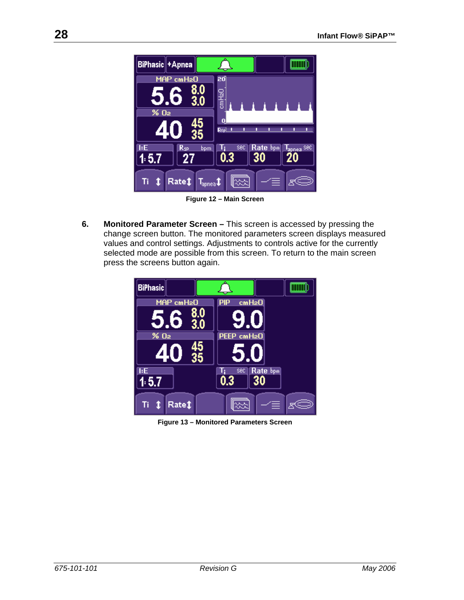

**Figure 12 – Main Screen** 

**6. Monitored Parameter Screen –** This screen is accessed by pressing the change screen button. The monitored parameters screen displays measured values and control settings. Adjustments to controls active for the currently selected mode are possible from this screen. To return to the main screen press the screens button again.



**Figure 13 – Monitored Parameters Screen**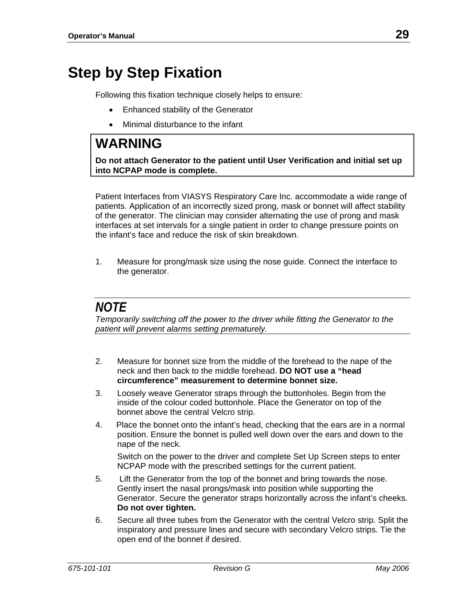## **Step by Step Fixation**

Following this fixation technique closely helps to ensure:

- Enhanced stability of the Generator
- Minimal disturbance to the infant

## **WARNING**

**Do not attach Generator to the patient until User Verification and initial set up into NCPAP mode is complete.** 

Patient Interfaces from VIASYS Respiratory Care Inc. accommodate a wide range of patients. Application of an incorrectly sized prong, mask or bonnet will affect stability of the generator. The clinician may consider alternating the use of prong and mask interfaces at set intervals for a single patient in order to change pressure points on the infant's face and reduce the risk of skin breakdown.

1. Measure for prong/mask size using the nose guide. Connect the interface to the generator.

## *NOTE*

*Temporarily switching off the power to the driver while fitting the Generator to the patient will prevent alarms setting prematurely.* 

- 2. Measure for bonnet size from the middle of the forehead to the nape of the neck and then back to the middle forehead. **DO NOT use a "head circumference" measurement to determine bonnet size.**
- 3. Loosely weave Generator straps through the buttonholes. Begin from the inside of the colour coded buttonhole. Place the Generator on top of the bonnet above the central Velcro strip.
- 4. Place the bonnet onto the infant's head, checking that the ears are in a normal position. Ensure the bonnet is pulled well down over the ears and down to the nape of the neck.

 Switch on the power to the driver and complete Set Up Screen steps to enter NCPAP mode with the prescribed settings for the current patient.

- 5. Lift the Generator from the top of the bonnet and bring towards the nose. Gently insert the nasal prongs/mask into position while supporting the Generator. Secure the generator straps horizontally across the infant's cheeks. **Do not over tighten.**
- 6.Secure all three tubes from the Generator with the central Velcro strip. Split the inspiratory and pressure lines and secure with secondary Velcro strips. Tie the open end of the bonnet if desired.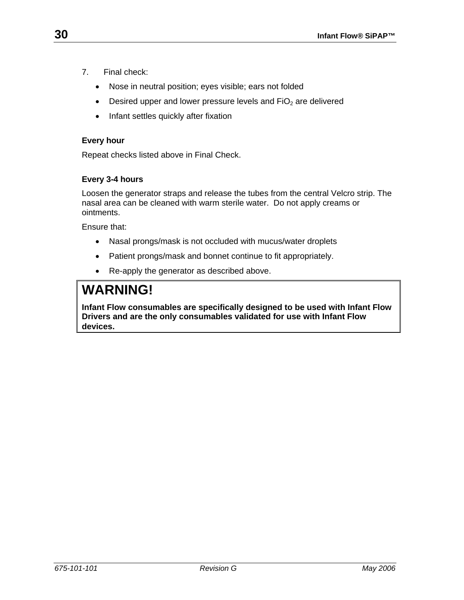- 7. Final check:
	- Nose in neutral position; eyes visible; ears not folded
	- Desired upper and lower pressure levels and  $FiO<sub>2</sub>$  are delivered
	- Infant settles quickly after fixation

#### **Every hour**

Repeat checks listed above in Final Check.

#### **Every 3-4 hours**

Loosen the generator straps and release the tubes from the central Velcro strip. The nasal area can be cleaned with warm sterile water. Do not apply creams or ointments.

Ensure that:

- Nasal prongs/mask is not occluded with mucus/water droplets
- Patient prongs/mask and bonnet continue to fit appropriately.
- Re-apply the generator as described above.

## **WARNING!**

**Infant Flow consumables are specifically designed to be used with Infant Flow Drivers and are the only consumables validated for use with Infant Flow devices.**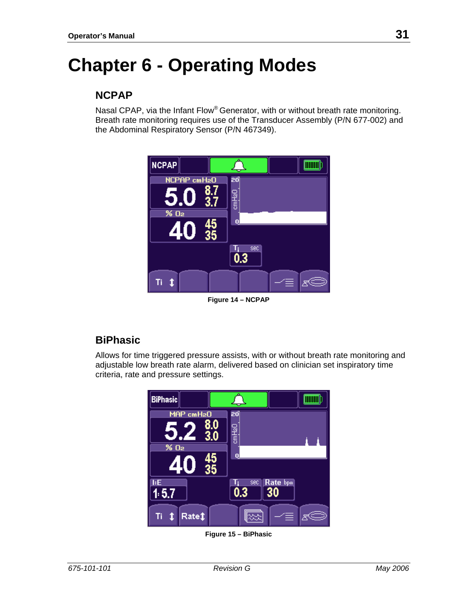## **Chapter 6 - Operating Modes**

## **NCPAP**

Nasal CPAP, via the Infant Flow<sup>®</sup> Generator, with or without breath rate monitoring. Breath rate monitoring requires use of the Transducer Assembly (P/N 677-002) and the Abdominal Respiratory Sensor (P/N 467349).



**Figure 14 – NCPAP**

## **BiPhasic**

Allows for time triggered pressure assists, with or without breath rate monitoring and adjustable low breath rate alarm, delivered based on clinician set inspiratory time criteria, rate and pressure settings.



**Figure 15 – BiPhasic**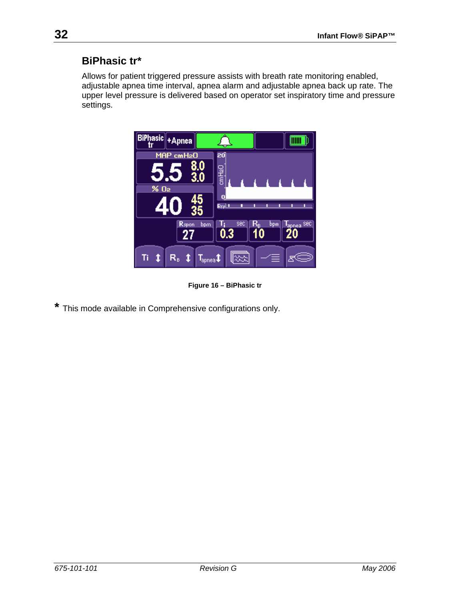## **BiPhasic tr\***

Allows for patient triggered pressure assists with breath rate monitoring enabled, adjustable apnea time interval, apnea alarm and adjustable apnea back up rate. The upper level pressure is delivered based on operator set inspiratory time and pressure settings.



**Figure 16 – BiPhasic tr**

**\*** This mode available in Comprehensive configurations only.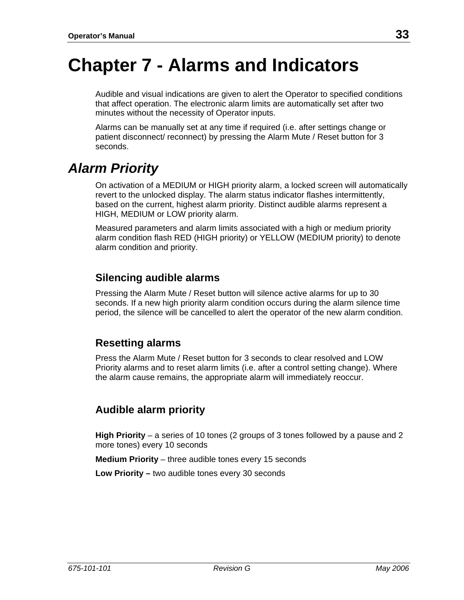## **Chapter 7 - Alarms and Indicators**

Audible and visual indications are given to alert the Operator to specified conditions that affect operation. The electronic alarm limits are automatically set after two minutes without the necessity of Operator inputs.

Alarms can be manually set at any time if required (i.e. after settings change or patient disconnect/ reconnect) by pressing the Alarm Mute / Reset button for 3 seconds.

## *Alarm Priority*

On activation of a MEDIUM or HIGH priority alarm, a locked screen will automatically revert to the unlocked display. The alarm status indicator flashes intermittently, based on the current, highest alarm priority. Distinct audible alarms represent a HIGH, MEDIUM or LOW priority alarm.

Measured parameters and alarm limits associated with a high or medium priority alarm condition flash RED (HIGH priority) or YELLOW (MEDIUM priority) to denote alarm condition and priority.

## **Silencing audible alarms**

Pressing the Alarm Mute / Reset button will silence active alarms for up to 30 seconds. If a new high priority alarm condition occurs during the alarm silence time period, the silence will be cancelled to alert the operator of the new alarm condition.

## **Resetting alarms**

Press the Alarm Mute / Reset button for 3 seconds to clear resolved and LOW Priority alarms and to reset alarm limits (i.e. after a control setting change). Where the alarm cause remains, the appropriate alarm will immediately reoccur.

## **Audible alarm priority**

**High Priority** – a series of 10 tones (2 groups of 3 tones followed by a pause and 2 more tones) every 10 seconds

**Medium Priority** – three audible tones every 15 seconds

**Low Priority –** two audible tones every 30 seconds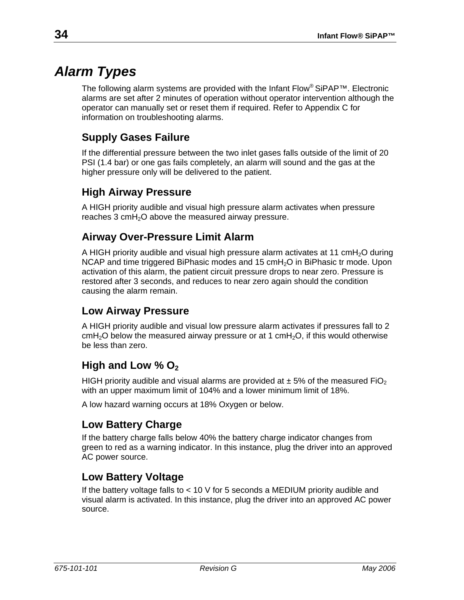## *Alarm Types*

The following alarm systems are provided with the Infant Flow<sup>®</sup> SiPAP<sup>TM</sup>. Electronic alarms are set after 2 minutes of operation without operator intervention although the operator can manually set or reset them if required. Refer to Appendix C for information on troubleshooting alarms.

## **Supply Gases Failure**

If the differential pressure between the two inlet gases falls outside of the limit of 20 PSI (1.4 bar) or one gas fails completely, an alarm will sound and the gas at the higher pressure only will be delivered to the patient.

## **High Airway Pressure**

A HIGH priority audible and visual high pressure alarm activates when pressure reaches 3 cmH<sub>2</sub>O above the measured airway pressure.

## **Airway Over-Pressure Limit Alarm**

A HIGH priority audible and visual high pressure alarm activates at 11  $\text{cm}H_2\text{O}$  during NCAP and time triggered BiPhasic modes and 15  $cmH<sub>2</sub>O$  in BiPhasic tr mode. Upon activation of this alarm, the patient circuit pressure drops to near zero. Pressure is restored after 3 seconds, and reduces to near zero again should the condition causing the alarm remain.

## **Low Airway Pressure**

A HIGH priority audible and visual low pressure alarm activates if pressures fall to 2  $\text{cmH}_{2}$ O below the measured airway pressure or at 1 cmH<sub>2</sub>O, if this would otherwise be less than zero.

## High and Low % O<sub>2</sub>

HIGH priority audible and visual alarms are provided at  $\pm$  5% of the measured FiO<sub>2</sub> with an upper maximum limit of 104% and a lower minimum limit of 18%.

A low hazard warning occurs at 18% Oxygen or below.

### **Low Battery Charge**

If the battery charge falls below 40% the battery charge indicator changes from green to red as a warning indicator. In this instance, plug the driver into an approved AC power source.

### **Low Battery Voltage**

If the battery voltage falls to < 10 V for 5 seconds a MEDIUM priority audible and visual alarm is activated. In this instance, plug the driver into an approved AC power source.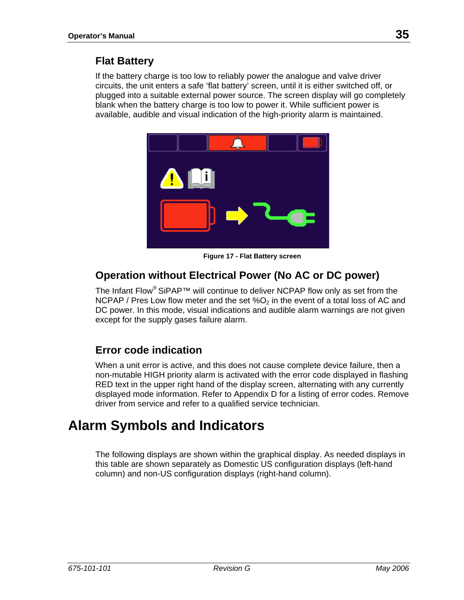## **Flat Battery**

If the battery charge is too low to reliably power the analogue and valve driver circuits, the unit enters a safe 'flat battery' screen, until it is either switched off, or plugged into a suitable external power source. The screen display will go completely blank when the battery charge is too low to power it. While sufficient power is available, audible and visual indication of the high-priority alarm is maintained.



**Figure 17 - Flat Battery screen** 

## **Operation without Electrical Power (No AC or DC power)**

The Infant Flow® SiPAP™ will continue to deliver NCPAP flow only as set from the NCPAP / Pres Low flow meter and the set  $%O<sub>2</sub>$  in the event of a total loss of AC and DC power. In this mode, visual indications and audible alarm warnings are not given except for the supply gases failure alarm.

## **Error code indication**

When a unit error is active, and this does not cause complete device failure, then a non-mutable HIGH priority alarm is activated with the error code displayed in flashing RED text in the upper right hand of the display screen, alternating with any currently displayed mode information. Refer to Appendix D for a listing of error codes. Remove driver from service and refer to a qualified service technician.

## **Alarm Symbols and Indicators**

The following displays are shown within the graphical display. As needed displays in this table are shown separately as Domestic US configuration displays (left-hand column) and non-US configuration displays (right-hand column).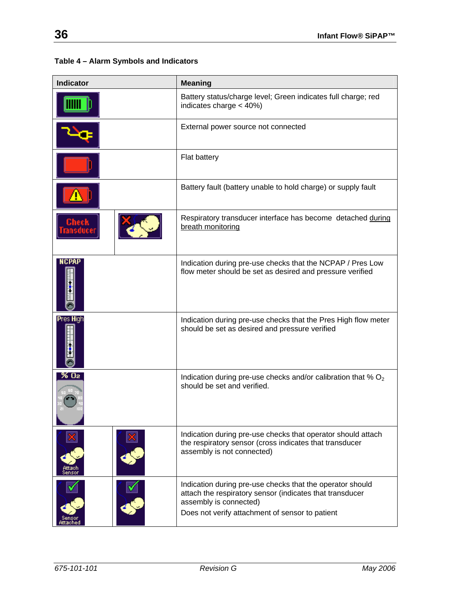| <b>Indicator</b> | <b>Meaning</b>                                                                                                                                                                                     |
|------------------|----------------------------------------------------------------------------------------------------------------------------------------------------------------------------------------------------|
|                  | Battery status/charge level; Green indicates full charge; red<br>indicates charge $<$ 40%)                                                                                                         |
|                  | External power source not connected                                                                                                                                                                |
|                  | Flat battery                                                                                                                                                                                       |
|                  | Battery fault (battery unable to hold charge) or supply fault                                                                                                                                      |
|                  | Respiratory transducer interface has become detached during<br>breath monitoring                                                                                                                   |
| <b>NCPAP</b>     | Indication during pre-use checks that the NCPAP / Pres Low<br>flow meter should be set as desired and pressure verified                                                                            |
| <b>Pres High</b> | Indication during pre-use checks that the Pres High flow meter<br>should be set as desired and pressure verified                                                                                   |
| % O2             | Indication during pre-use checks and/or calibration that $% O2$<br>should be set and verified.                                                                                                     |
|                  | Indication during pre-use checks that operator should attach<br>the respiratory sensor (cross indicates that transducer<br>assembly is not connected)                                              |
|                  | Indication during pre-use checks that the operator should<br>attach the respiratory sensor (indicates that transducer<br>assembly is connected)<br>Does not verify attachment of sensor to patient |

#### **Table 4 – Alarm Symbols and Indicators**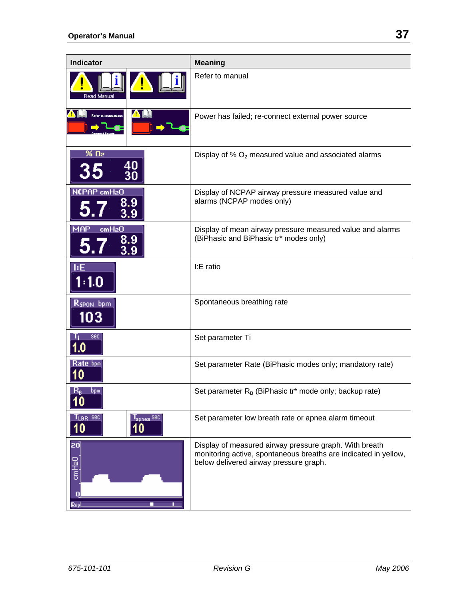| <b>Indicator</b>                                                  | <b>Meaning</b>                                                                                                                                                      |
|-------------------------------------------------------------------|---------------------------------------------------------------------------------------------------------------------------------------------------------------------|
| Read Manua                                                        | Refer to manual                                                                                                                                                     |
|                                                                   | Power has failed; re-connect external power source                                                                                                                  |
| $%$ O <sub>2</sub><br>40<br>30                                    | Display of % $O_2$ measured value and associated alarms                                                                                                             |
| NCPAP cmH2O<br>8.9                                                | Display of NCPAP airway pressure measured value and<br>alarms (NCPAP modes only)                                                                                    |
| $cm$ H <sub>2</sub> O<br><b>MAP</b><br>$\bf 3.9$                  | Display of mean airway pressure measured value and alarms<br>(BiPhasic and BiPhasic tr* modes only)                                                                 |
| ĿЕ<br>$\cdot 1.0$                                                 | I:E ratio                                                                                                                                                           |
| R <sub>SPON</sub> bpm<br>103                                      | Spontaneous breathing rate                                                                                                                                          |
| sec<br>.0                                                         | Set parameter Ti                                                                                                                                                    |
| Rate bpm<br>0                                                     | Set parameter Rate (BiPhasic modes only; mandatory rate)                                                                                                            |
| $R_{\scriptscriptstyle\rm R}$<br>bpm                              | Set parameter $R_B$ (BiPhasic tr* mode only; backup rate)                                                                                                           |
| $\mathsf{T}_{\mathsf{LBR}}$ sec.<br><b>Lapnea</b> Sec<br>10<br>10 | Set parameter low breath rate or apnea alarm timeout                                                                                                                |
| 20<br>cmH <sub>2</sub> 0<br>Rspl                                  | Display of measured airway pressure graph. With breath<br>monitoring active, spontaneous breaths are indicated in yellow,<br>below delivered airway pressure graph. |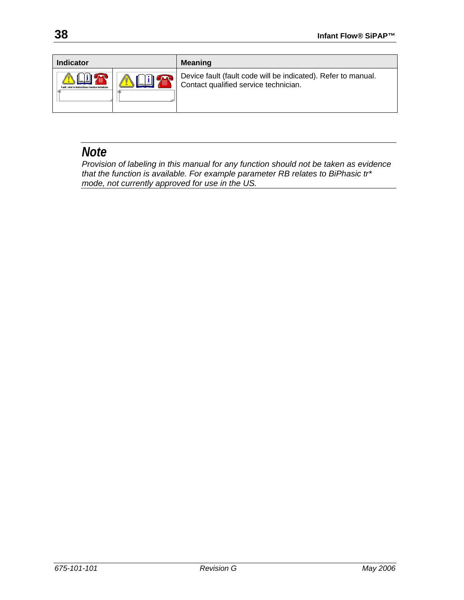| <b>Indicator</b>                           |                | <b>Meaning</b>                                                                                         |
|--------------------------------------------|----------------|--------------------------------------------------------------------------------------------------------|
| refer to instructions / service technician | <b>All You</b> | Device fault (fault code will be indicated). Refer to manual.<br>Contact qualified service technician. |

## *Note*

*Provision of labeling in this manual for any function should not be taken as evidence that the function is available. For example parameter RB relates to BiPhasic tr\* mode, not currently approved for use in the US.*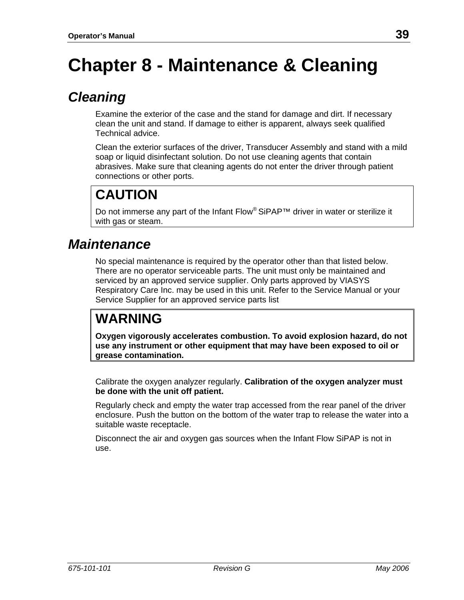# **Chapter 8 - Maintenance & Cleaning**

## *Cleaning*

Examine the exterior of the case and the stand for damage and dirt. If necessary clean the unit and stand. If damage to either is apparent, always seek qualified Technical advice.

Clean the exterior surfaces of the driver, Transducer Assembly and stand with a mild soap or liquid disinfectant solution. Do not use cleaning agents that contain abrasives. Make sure that cleaning agents do not enter the driver through patient connections or other ports.

## **CAUTION**

Do not immerse any part of the Infant Flow® SiPAP™ driver in water or sterilize it with gas or steam.

## *Maintenance*

No special maintenance is required by the operator other than that listed below. There are no operator serviceable parts. The unit must only be maintained and serviced by an approved service supplier. Only parts approved by VIASYS Respiratory Care Inc. may be used in this unit. Refer to the Service Manual or your Service Supplier for an approved service parts list

## **WARNING**

**Oxygen vigorously accelerates combustion. To avoid explosion hazard, do not use any instrument or other equipment that may have been exposed to oil or grease contamination.**

Calibrate the oxygen analyzer regularly. **Calibration of the oxygen analyzer must be done with the unit off patient.** 

Regularly check and empty the water trap accessed from the rear panel of the driver enclosure. Push the button on the bottom of the water trap to release the water into a suitable waste receptacle.

Disconnect the air and oxygen gas sources when the Infant Flow SiPAP is not in use.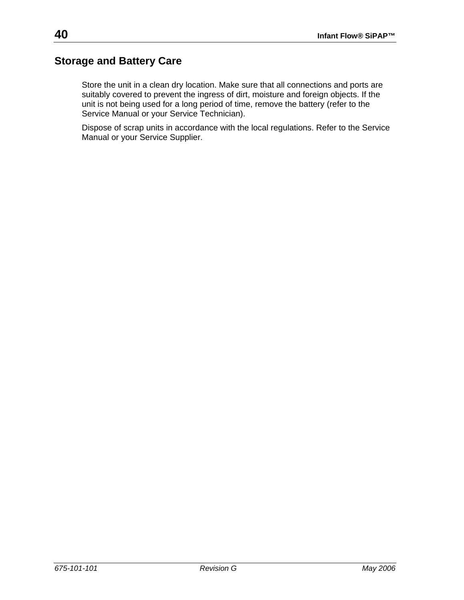## **Storage and Battery Care**

Store the unit in a clean dry location. Make sure that all connections and ports are suitably covered to prevent the ingress of dirt, moisture and foreign objects. If the unit is not being used for a long period of time, remove the battery (refer to the Service Manual or your Service Technician).

Dispose of scrap units in accordance with the local regulations. Refer to the Service Manual or your Service Supplier.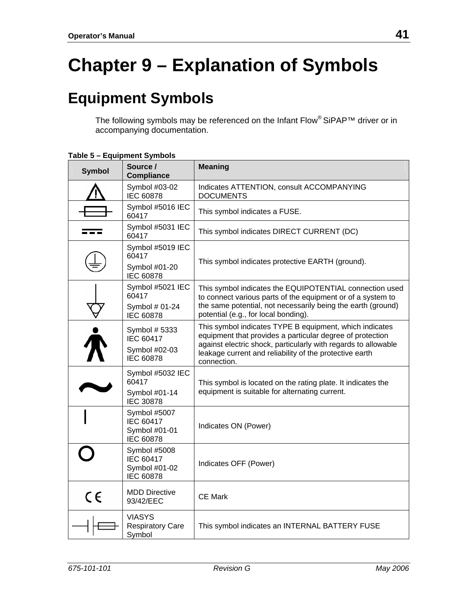# **Chapter 9 – Explanation of Symbols**

## **Equipment Symbols**

The following symbols may be referenced on the Infant Flow® SiPAP™ driver or in accompanying documentation.

| <b>Symbol</b> | Source /<br><b>Compliance</b>                                   | <b>Meaning</b>                                                                                                                                                                                                                                                   |
|---------------|-----------------------------------------------------------------|------------------------------------------------------------------------------------------------------------------------------------------------------------------------------------------------------------------------------------------------------------------|
|               | Symbol #03-02<br>IEC 60878                                      | Indicates ATTENTION, consult ACCOMPANYING<br><b>DOCUMENTS</b>                                                                                                                                                                                                    |
|               | Symbol #5016 IEC<br>60417                                       | This symbol indicates a FUSE.                                                                                                                                                                                                                                    |
|               | Symbol #5031 IEC<br>60417                                       | This symbol indicates DIRECT CURRENT (DC)                                                                                                                                                                                                                        |
|               | Symbol #5019 IEC<br>60417<br>Symbol #01-20<br>IEC 60878         | This symbol indicates protective EARTH (ground).                                                                                                                                                                                                                 |
|               | Symbol #5021 IEC<br>60417<br>Symbol # 01-24<br>IEC 60878        | This symbol indicates the EQUIPOTENTIAL connection used<br>to connect various parts of the equipment or of a system to<br>the same potential, not necessarily being the earth (ground)<br>potential (e.g., for local bonding).                                   |
|               | Symbol # 5333<br><b>IEC 60417</b><br>Symbol #02-03<br>IEC 60878 | This symbol indicates TYPE B equipment, which indicates<br>equipment that provides a particular degree of protection<br>against electric shock, particularly with regards to allowable<br>leakage current and reliability of the protective earth<br>connection. |
|               | Symbol #5032 IEC<br>60417<br>Symbol #01-14<br><b>IEC 30878</b>  | This symbol is located on the rating plate. It indicates the<br>equipment is suitable for alternating current.                                                                                                                                                   |
|               | Symbol #5007<br><b>IEC 60417</b><br>Symbol #01-01<br>IEC 60878  | Indicates ON (Power)                                                                                                                                                                                                                                             |
|               | Symbol #5008<br>IEC 60417<br>Symbol #01-02<br>IEC 60878         | Indicates OFF (Power)                                                                                                                                                                                                                                            |
| $\epsilon$    | <b>MDD Directive</b><br>93/42/EEC                               | <b>CE Mark</b>                                                                                                                                                                                                                                                   |
|               | <b>VIASYS</b><br><b>Respiratory Care</b><br>Symbol              | This symbol indicates an INTERNAL BATTERY FUSE                                                                                                                                                                                                                   |

#### **Table 5 – Equipment Symbols**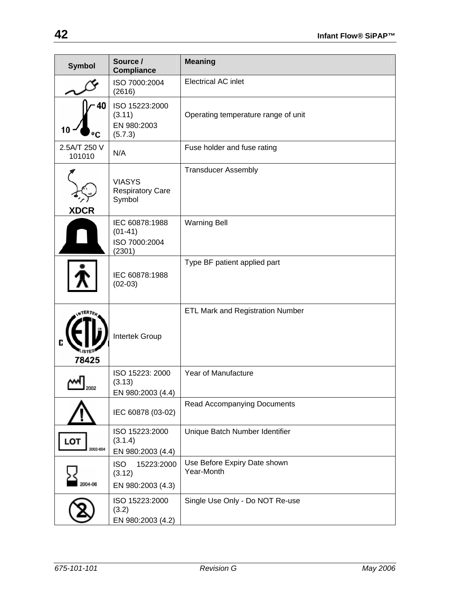| <b>Symbol</b>          | Source /<br><b>Compliance</b>                           | <b>Meaning</b>                             |  |  |
|------------------------|---------------------------------------------------------|--------------------------------------------|--|--|
|                        | ISO 7000:2004<br>(2616)                                 | <b>Electrical AC inlet</b>                 |  |  |
| 40<br>٥C               | ISO 15223:2000<br>(3.11)<br>EN 980:2003<br>(5.7.3)      | Operating temperature range of unit        |  |  |
| 2.5A/T 250 V<br>101010 | N/A                                                     | Fuse holder and fuse rating                |  |  |
| <b>XDCR</b>            | <b>VIASYS</b><br><b>Respiratory Care</b><br>Symbol      | <b>Transducer Assembly</b>                 |  |  |
|                        | IEC 60878:1988<br>$(01-41)$<br>ISO 7000:2004<br>(2301)  | <b>Warning Bell</b>                        |  |  |
|                        | IEC 60878:1988<br>$(02-03)$                             | Type BF patient applied part               |  |  |
| 78425                  | Intertek Group                                          | <b>ETL Mark and Registration Number</b>    |  |  |
|                        | ISO 15223: 2000<br>(3.13)<br>EN 980:2003 (4.4)          | Year of Manufacture                        |  |  |
|                        | IEC 60878 (03-02)                                       | <b>Read Accompanying Documents</b>         |  |  |
| LOT<br>2002-604        | ISO 15223:2000<br>(3.1.4)<br>EN 980:2003 (4.4)          | Unique Batch Number Identifier             |  |  |
|                        | <b>ISO</b><br>15223:2000<br>(3.12)<br>EN 980:2003 (4.3) | Use Before Expiry Date shown<br>Year-Month |  |  |
|                        | ISO 15223:2000<br>(3.2)<br>EN 980:2003 (4.2)            | Single Use Only - Do NOT Re-use            |  |  |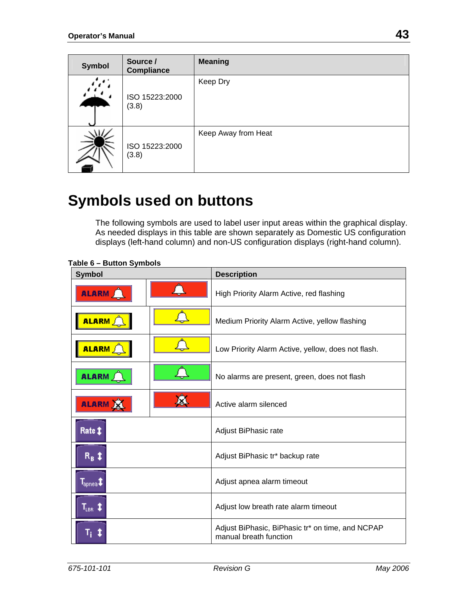| <b>Symbol</b> | Source /<br><b>Compliance</b> | <b>Meaning</b>      |
|---------------|-------------------------------|---------------------|
| ٠             | ISO 15223:2000<br>(3.8)       | Keep Dry            |
|               | ISO 15223:2000<br>(3.8)       | Keep Away from Heat |

## **Symbols used on buttons**

The following symbols are used to label user input areas within the graphical display. As needed displays in this table are shown separately as Domestic US configuration displays (left-hand column) and non-US configuration displays (right-hand column).

|  | Table 6 - Button Symbols |
|--|--------------------------|
|  |                          |

| <b>Symbol</b>                                       |  | <b>Description</b>                                                         |  |
|-----------------------------------------------------|--|----------------------------------------------------------------------------|--|
| ALARM                                               |  | High Priority Alarm Active, red flashing                                   |  |
| <b>ALARM</b>                                        |  | Medium Priority Alarm Active, yellow flashing                              |  |
| <b>ALARM</b>                                        |  | Low Priority Alarm Active, yellow, does not flash.                         |  |
| <b>ALARM</b>                                        |  | No alarms are present, green, does not flash                               |  |
| <b>ALARM</b>                                        |  | Active alarm silenced                                                      |  |
| Rate <sup>t</sup>                                   |  | Adjust BiPhasic rate                                                       |  |
| $R_B$ $\ddagger$                                    |  | Adjust BiPhasic tr* backup rate                                            |  |
| $\texttt{T}_{\texttt{apnea}} \mathbf{\mathfrak{p}}$ |  | Adjust apnea alarm timeout                                                 |  |
| $\mathbf{T}_{\text{\tiny LBR}}$ ‡                   |  | Adjust low breath rate alarm timeout                                       |  |
|                                                     |  | Adjust BiPhasic, BiPhasic tr* on time, and NCPAP<br>manual breath function |  |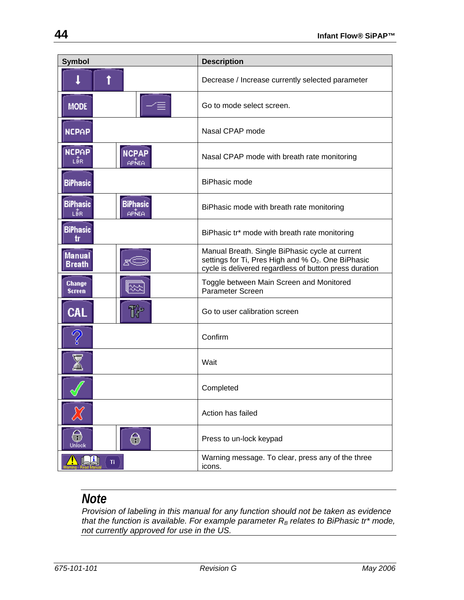| <b>Symbol</b>                                      | <b>Description</b>                                                                                                                                                          |
|----------------------------------------------------|-----------------------------------------------------------------------------------------------------------------------------------------------------------------------------|
|                                                    | Decrease / Increase currently selected parameter                                                                                                                            |
| <b>MODE</b>                                        | Go to mode select screen.                                                                                                                                                   |
| <b>NCPAP</b>                                       | Nasal CPAP mode                                                                                                                                                             |
| <b>NCPAP</b><br><b>NCPAP</b><br>LÅR<br>APNEA       | Nasal CPAP mode with breath rate monitoring                                                                                                                                 |
| <b>BiPhasic</b>                                    | <b>BiPhasic mode</b>                                                                                                                                                        |
| <b>BiPhasic</b><br><b>BiPhasic</b><br>APNEA<br>LÅR | BiPhasic mode with breath rate monitoring                                                                                                                                   |
| <b>BiPhasic</b><br>tr                              | BiPhasic tr* mode with breath rate monitoring                                                                                                                               |
| <b>Manual</b><br><b>Breath</b>                     | Manual Breath. Single BiPhasic cycle at current<br>settings for Ti, Pres High and % O <sub>2</sub> . One BiPhasic<br>cycle is delivered regardless of button press duration |
| <b>Change</b><br>Screen                            | Toggle between Main Screen and Monitored<br>Parameter Screen                                                                                                                |
| M<br>CAL                                           | Go to user calibration screen                                                                                                                                               |
|                                                    | Confirm                                                                                                                                                                     |
|                                                    | Wait                                                                                                                                                                        |
|                                                    | Completed                                                                                                                                                                   |
|                                                    | Action has failed                                                                                                                                                           |
| $\overline{\mathbf{r}}$<br>€<br>Unlock             | Press to un-lock keypad                                                                                                                                                     |
| Ti.                                                | Warning message. To clear, press any of the three<br>icons.                                                                                                                 |

## *Note*

*Provision of labeling in this manual for any function should not be taken as evidence that the function is available. For example parameter*  $R_B$  *relates to BiPhasic tr\* mode, not currently approved for use in the US.*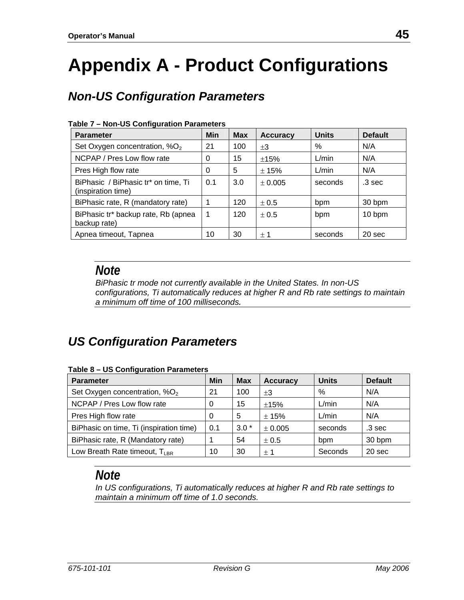# **Appendix A - Product Configurations**

## *Non-US Configuration Parameters*

| <b>Parameter</b>                                          | <b>Min</b> | <b>Max</b> | <b>Accuracy</b> | <b>Units</b> | <b>Default</b>    |
|-----------------------------------------------------------|------------|------------|-----------------|--------------|-------------------|
| Set Oxygen concentration, %O <sub>2</sub>                 | 21         | 100        | $\pm 3$         | %            | N/A               |
| NCPAP / Pres Low flow rate                                | 0          | 15         | ±15%            | L/min        | N/A               |
| Pres High flow rate                                       | 0          | 5          | $\pm$ 15%       | L/min        | N/A               |
| BiPhasic / BiPhasic tr* on time, Ti<br>(inspiration time) | 0.1        | 3.0        | ± 0.005         | seconds      | .3 <sub>sec</sub> |
| BiPhasic rate, R (mandatory rate)                         |            | 120        | ± 0.5           | bpm          | 30 bpm            |
| BiPhasic tr* backup rate, Rb (apnea<br>backup rate)       | -1         | 120        | ± 0.5           | bpm          | 10 bpm            |
| Apnea timeout, Tapnea                                     | 10         | 30         | $+1$            | seconds      | 20 sec            |

#### **Table 7 – Non-US Configuration Parameters**

## *Note*

*BiPhasic tr mode not currently available in the United States. In non-US configurations, Ti automatically reduces at higher R and Rb rate settings to maintain a minimum off time of 100 milliseconds.* 

## *US Configuration Parameters*

| Table o – OS Conniguiation Farameters     |     |            |                 |              |                |
|-------------------------------------------|-----|------------|-----------------|--------------|----------------|
| <b>Parameter</b>                          | Min | <b>Max</b> | <b>Accuracy</b> | <b>Units</b> | <b>Default</b> |
| Set Oxygen concentration, %O <sub>2</sub> | 21  | 100        | $\pm 3$         | %            | N/A            |
| NCPAP / Pres Low flow rate                | 0   | 15         | ±15%            | L/min        | N/A            |
| Pres High flow rate                       |     | 5          | ± 15%           | L/min        | N/A            |
| BiPhasic on time, Ti (inspiration time)   | 0.1 | $3.0*$     | ± 0.005         | seconds      | .3 sec         |
| BiPhasic rate, R (Mandatory rate)         |     | 54         | ± 0.5           | bpm          | 30 bpm         |
| Low Breath Rate timeout, $T_{LBR}$        | 10  | 30         | $+1$            | Seconds      | 20 sec         |

#### **Table 8 – US Configuration Parameters**

## *Note*

*In US configurations, Ti automatically reduces at higher R and Rb rate settings to maintain a minimum off time of 1.0 seconds.*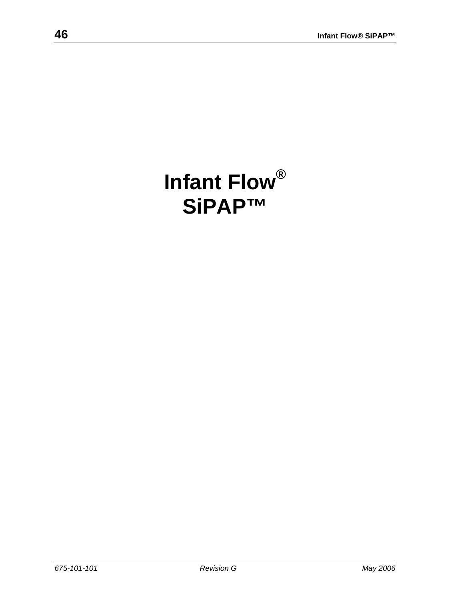# **Infant Flow® SiPAP™**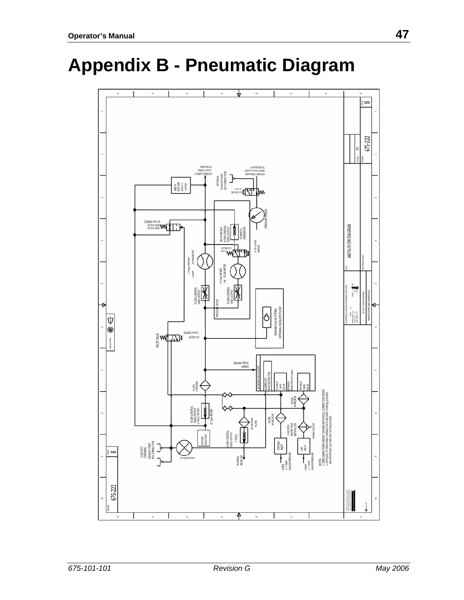## **Appendix B - Pneumatic Diagram**

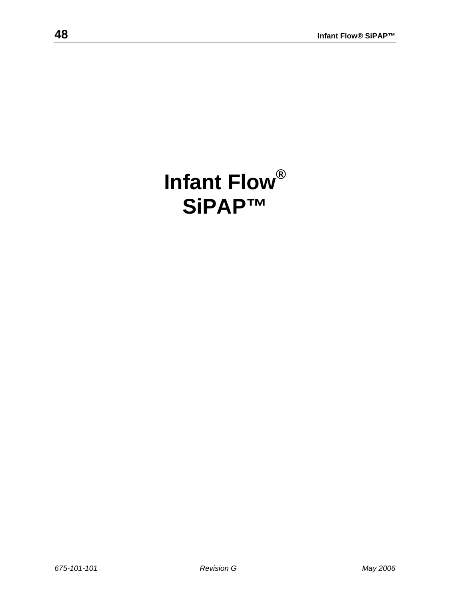# **Infant Flow® SiPAP™**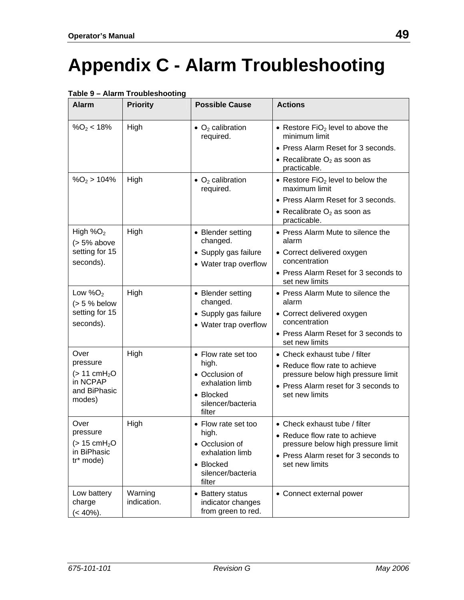# **Appendix C - Alarm Troubleshooting**

| <b>Alarm</b>                           | <b>Priority</b>        | <b>Possible Cause</b>                                       | <b>Actions</b>                                                      |
|----------------------------------------|------------------------|-------------------------------------------------------------|---------------------------------------------------------------------|
| %O <sub>2</sub> < 18%                  | High                   | $\bullet$ O <sub>2</sub> calibration<br>required.           | • Restore $FiO2$ level to above the<br>minimum limit                |
|                                        |                        |                                                             | • Press Alarm Reset for 3 seconds.                                  |
|                                        |                        |                                                             | • Recalibrate $O_2$ as soon as<br>practicable.                      |
| $\%O_2 > 104\%$                        | High                   | $\bullet$ O <sub>2</sub> calibration<br>required.           | • Restore $FiO2$ level to below the<br>maximum limit                |
|                                        |                        |                                                             | • Press Alarm Reset for 3 seconds.                                  |
|                                        |                        |                                                             | • Recalibrate $O2$ as soon as<br>practicable.                       |
| High $\%O2$<br>$(> 5\%$ above          | High                   | • Blender setting<br>changed.                               | • Press Alarm Mute to silence the<br>alarm                          |
| setting for 15<br>seconds).            |                        | • Supply gas failure<br>• Water trap overflow               | • Correct delivered oxygen<br>concentration                         |
|                                        |                        |                                                             | • Press Alarm Reset for 3 seconds to<br>set new limits              |
| Low $%O2$<br>$(> 5 %$ below            | High                   | • Blender setting<br>changed.                               | • Press Alarm Mute to silence the<br>alarm                          |
| setting for 15<br>seconds).            |                        | • Supply gas failure<br>• Water trap overflow               | • Correct delivered oxygen<br>concentration                         |
|                                        |                        |                                                             | • Press Alarm Reset for 3 seconds to<br>set new limits              |
| Over                                   | High                   | • Flow rate set too                                         | • Check exhaust tube / filter                                       |
| pressure<br>$(> 11$ cmH <sub>2</sub> O |                        | high.<br>• Occlusion of                                     | • Reduce flow rate to achieve<br>pressure below high pressure limit |
| in NCPAP<br>and BiPhasic<br>modes)     |                        | exhalation limb<br>• Blocked<br>silencer/bacteria<br>filter | • Press Alarm reset for 3 seconds to<br>set new limits              |
| Over                                   | High                   | • Flow rate set too                                         | • Check exhaust tube / filter                                       |
| pressure                               |                        | high.                                                       | • Reduce flow rate to achieve                                       |
| $(> 15 \text{ cm}H2O)$<br>in BiPhasic  |                        | • Occlusion of<br>exhalation limb                           | pressure below high pressure limit                                  |
| tr* mode)                              |                        | • Blocked<br>silencer/bacteria<br>filter                    | • Press Alarm reset for 3 seconds to<br>set new limits              |
| Low battery<br>charge<br>$(< 40\%)$ .  | Warning<br>indication. | • Battery status<br>indicator changes<br>from green to red. | • Connect external power                                            |

#### **Table 9 – Alarm Troubleshooting**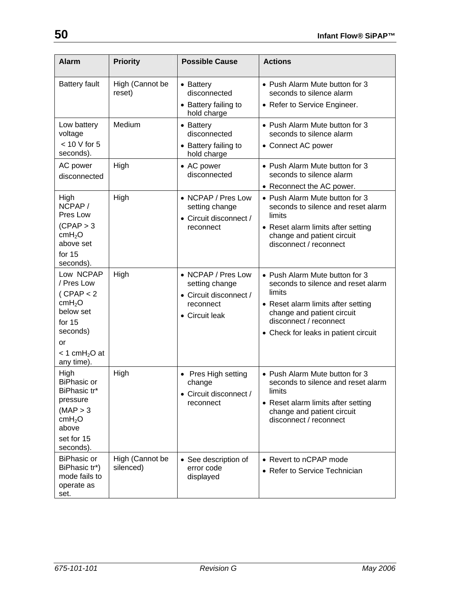| <b>Alarm</b>                                                                                                                                       | <b>Priority</b>              | <b>Possible Cause</b>                                                                         | <b>Actions</b>                                                                                                                                                                                                       |
|----------------------------------------------------------------------------------------------------------------------------------------------------|------------------------------|-----------------------------------------------------------------------------------------------|----------------------------------------------------------------------------------------------------------------------------------------------------------------------------------------------------------------------|
| <b>Battery fault</b>                                                                                                                               | High (Cannot be<br>reset)    | • Battery<br>disconnected<br>• Battery failing to<br>hold charge                              | • Push Alarm Mute button for 3<br>seconds to silence alarm<br>• Refer to Service Engineer.                                                                                                                           |
| Low battery<br>voltage<br>$< 10 V$ for 5<br>seconds).                                                                                              | Medium                       | • Battery<br>disconnected<br>• Battery failing to<br>hold charge                              | • Push Alarm Mute button for 3<br>seconds to silence alarm<br>• Connect AC power                                                                                                                                     |
| AC power<br>disconnected                                                                                                                           | High                         | • AC power<br>disconnected                                                                    | • Push Alarm Mute button for 3<br>seconds to silence alarm<br>• Reconnect the AC power.                                                                                                                              |
| High<br>NCPAP/<br>Pres Low<br>(CPAP > 3<br>cmH <sub>2</sub> O<br>above set<br>for $15$<br>seconds).                                                | High                         | • NCPAP / Pres Low<br>setting change<br>• Circuit disconnect /<br>reconnect                   | • Push Alarm Mute button for 3<br>seconds to silence and reset alarm<br>limits<br>• Reset alarm limits after setting<br>change and patient circuit<br>disconnect / reconnect                                         |
| Low NCPAP<br>/ Pres Low<br>(CPAP < 2<br>cmH <sub>2</sub> O<br>below set<br>for $15$<br>seconds)<br>or<br>$<$ 1 cmH <sub>2</sub> O at<br>any time). | High                         | • NCPAP / Pres Low<br>setting change<br>• Circuit disconnect /<br>reconnect<br>• Circuit leak | • Push Alarm Mute button for 3<br>seconds to silence and reset alarm<br>limits<br>• Reset alarm limits after setting<br>change and patient circuit<br>disconnect / reconnect<br>• Check for leaks in patient circuit |
| High<br><b>BiPhasic or</b><br>BiPhasic tr*<br>pressure<br>(MAP > 3)<br>cmH <sub>2</sub> O<br>above<br>set for 15<br>seconds).                      | High                         | • Pres High setting<br>change<br>Circuit disconnect /<br>reconnect                            | • Push Alarm Mute button for 3<br>seconds to silence and reset alarm<br>limits<br>• Reset alarm limits after setting<br>change and patient circuit<br>disconnect / reconnect                                         |
| <b>BiPhasic or</b><br>BiPhasic tr*)<br>mode fails to<br>operate as<br>set.                                                                         | High (Cannot be<br>silenced) | • See description of<br>error code<br>displayed                                               | • Revert to nCPAP mode<br>• Refer to Service Technician                                                                                                                                                              |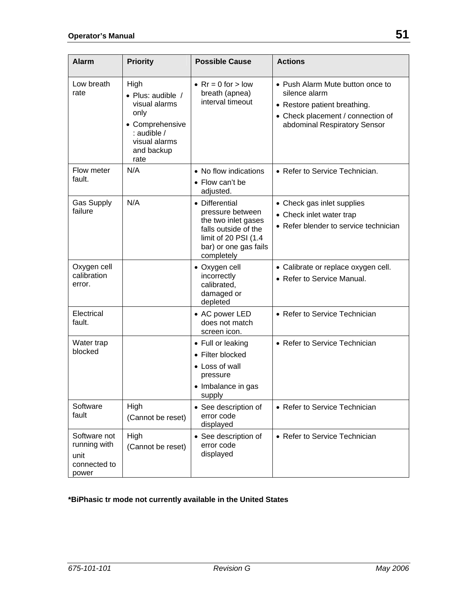| <b>Alarm</b>                                                  | <b>Priority</b>                                                                                                             | <b>Possible Cause</b>                                                                                                                            | <b>Actions</b>                                                                                                                                         |
|---------------------------------------------------------------|-----------------------------------------------------------------------------------------------------------------------------|--------------------------------------------------------------------------------------------------------------------------------------------------|--------------------------------------------------------------------------------------------------------------------------------------------------------|
| Low breath<br>rate                                            | High<br>• Plus: audible /<br>visual alarms<br>only<br>• Comprehensive<br>: audible /<br>visual alarms<br>and backup<br>rate | • $Rr = 0$ for $>$ low<br>breath (apnea)<br>interval timeout                                                                                     | • Push Alarm Mute button once to<br>silence alarm<br>• Restore patient breathing.<br>• Check placement / connection of<br>abdominal Respiratory Sensor |
| Flow meter<br>fault.                                          | N/A                                                                                                                         | • No flow indications<br>• Flow can't be<br>adjusted.                                                                                            | • Refer to Service Technician.                                                                                                                         |
| <b>Gas Supply</b><br>failure                                  | N/A                                                                                                                         | • Differential<br>pressure between<br>the two inlet gases<br>falls outside of the<br>limit of 20 PSI (1.4<br>bar) or one gas fails<br>completely | • Check gas inlet supplies<br>• Check inlet water trap<br>• Refer blender to service technician                                                        |
| Oxygen cell<br>calibration<br>error.                          |                                                                                                                             | • Oxygen cell<br>incorrectly<br>calibrated,<br>damaged or<br>depleted                                                                            | • Calibrate or replace oxygen cell.<br>• Refer to Service Manual.                                                                                      |
| Electrical<br>fault.                                          |                                                                                                                             | • AC power LED<br>does not match<br>screen icon.                                                                                                 | • Refer to Service Technician                                                                                                                          |
| Water trap<br>blocked                                         |                                                                                                                             | • Full or leaking<br>• Filter blocked<br>• Loss of wall<br>pressure<br>• Imbalance in gas<br>supply                                              | • Refer to Service Technician                                                                                                                          |
| Software<br>fault                                             | High<br>(Cannot be reset)                                                                                                   | • See description of<br>error code<br>displayed                                                                                                  | • Refer to Service Technician                                                                                                                          |
| Software not<br>running with<br>unit<br>connected to<br>power | High<br>(Cannot be reset)                                                                                                   | • See description of<br>error code<br>displayed                                                                                                  | • Refer to Service Technician                                                                                                                          |

#### **\*BiPhasic tr mode not currently available in the United States**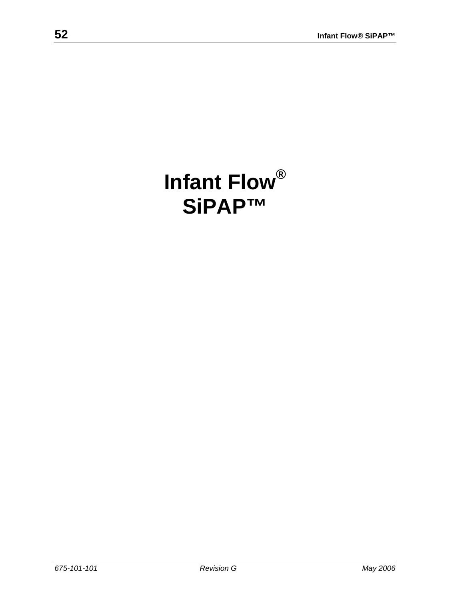# **Infant Flow® SiPAP™**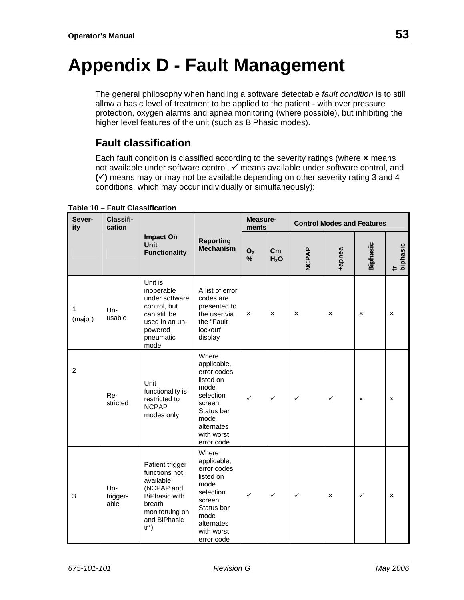# **Appendix D - Fault Management**

The general philosophy when handling a software detectable *fault condition* is to still allow a basic level of treatment to be applied to the patient - with over pressure protection, oxygen alarms and apnea monitoring (where possible), but inhibiting the higher level features of the unit (such as BiPhasic modes).

## **Fault classification**

Each fault condition is classified according to the severity ratings (where  $x$  means not available under software control,  $\checkmark$  means available under software control, and  $(\checkmark)$  means may or may not be available depending on other severity rating 3 and 4 conditions, which may occur individually or simultaneously):

| Sever-<br>ity  | Classifi-<br>cation     |                                                                                                                                          |                                                                                                                                                  | Measure-<br>ments               |                                   |                           |              | <b>Control Modes and Features</b> |                |
|----------------|-------------------------|------------------------------------------------------------------------------------------------------------------------------------------|--------------------------------------------------------------------------------------------------------------------------------------------------|---------------------------------|-----------------------------------|---------------------------|--------------|-----------------------------------|----------------|
|                |                         | Impact On<br>Unit<br><b>Functionality</b>                                                                                                | <b>Reporting</b><br><b>Mechanism</b>                                                                                                             | O <sub>2</sub><br>$\frac{9}{6}$ | $\mathsf{Cm}$<br>H <sub>2</sub> O | <b>NCPAP</b>              | eeude+       | Biphasic                          | tr<br>biphasic |
| 1<br>(major)   | Un-<br>usable           | Unit is<br>inoperable<br>under software<br>control, but<br>can still be<br>used in an un-<br>powered<br>pneumatic<br>mode                | A list of error<br>codes are<br>presented to<br>the user via<br>the "Fault"<br>lockout"<br>display                                               | $\mathbf{x}$                    | $\boldsymbol{\mathsf{x}}$         | $\boldsymbol{\mathsf{x}}$ | $\mathbf x$  | $\boldsymbol{\mathsf{x}}$         | $\mathsf{x}$   |
| $\overline{2}$ | Re-<br>stricted         | Unit<br>functionality is<br>restricted to<br><b>NCPAP</b><br>modes only                                                                  | Where<br>applicable,<br>error codes<br>listed on<br>mode<br>selection<br>screen.<br>Status bar<br>mode<br>alternates<br>with worst<br>error code | $\checkmark$                    | $\checkmark$                      | $\checkmark$              | $\checkmark$ | $\boldsymbol{\mathsf{x}}$         | $\mathsf{x}$   |
| 3              | Un-<br>trigger-<br>able | Patient trigger<br>functions not<br>available<br>(NCPAP and<br><b>BiPhasic with</b><br>breath<br>monitoruing on<br>and BiPhasic<br>$tr*$ | Where<br>applicable,<br>error codes<br>listed on<br>mode<br>selection<br>screen.<br>Status bar<br>mode<br>alternates<br>with worst<br>error code | $\checkmark$                    | $\checkmark$                      | $\checkmark$              | x            | $\checkmark$                      | x              |

**Table 10 – Fault Classification**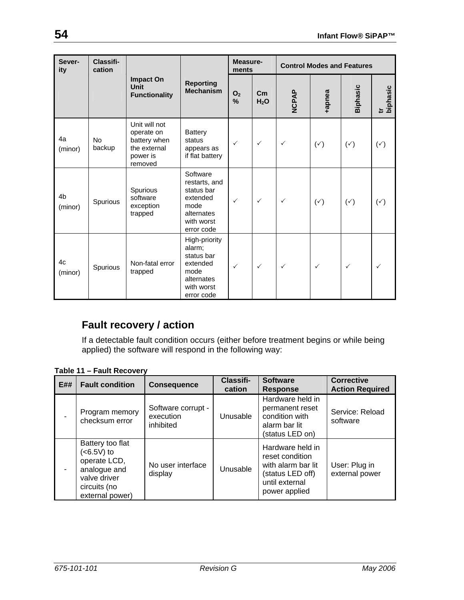| Sever-<br>ity             | Classifi-<br>cation |                                                                                    |                                                                                                       | Measure-<br>ments               |                                   |              |                | <b>Control Modes and Features</b> |                |
|---------------------------|---------------------|------------------------------------------------------------------------------------|-------------------------------------------------------------------------------------------------------|---------------------------------|-----------------------------------|--------------|----------------|-----------------------------------|----------------|
|                           |                     | <b>Impact On</b><br><b>Unit</b><br><b>Functionality</b>                            | <b>Reporting</b><br><b>Mechanism</b>                                                                  | O <sub>2</sub><br>$\frac{0}{0}$ | $\mathsf{cm}$<br>H <sub>2</sub> O | NCPAP        | eeude+         | Biphasic                          | tr<br>biphasic |
| 4a<br>(minor)             | No<br>backup        | Unit will not<br>operate on<br>battery when<br>the external<br>power is<br>removed | <b>Battery</b><br>status<br>appears as<br>if flat battery                                             | $\checkmark$                    | $\checkmark$                      | $\checkmark$ | $(\check{ }')$ | $(\check{y})$                     | $(\check{y})$  |
| 4 <sub>b</sub><br>(minor) | Spurious            | Spurious<br>software<br>exception<br>trapped                                       | Software<br>restarts, and<br>status bar<br>extended<br>mode<br>alternates<br>with worst<br>error code | $\checkmark$                    | $\checkmark$                      | $\checkmark$ | $(\check{y})$  | $(\check{ }')$                    | $(\check{ }')$ |
| 4c<br>(minor)             | Spurious            | Non-fatal error<br>trapped                                                         | High-priority<br>alarm;<br>status bar<br>extended<br>mode<br>alternates<br>with worst<br>error code   | $\checkmark$                    | $\checkmark$                      | $\checkmark$ | $\checkmark$   | $\checkmark$                      | $\checkmark$   |

## **Fault recovery / action**

If a detectable fault condition occurs (either before treatment begins or while being applied) the software will respond in the following way:

**Table 11 – Fault Recovery** 

| <b>E##</b> | <b>Fault condition</b>                                                                                             | <b>Consequence</b>                           | <b>Classifi-</b><br>cation | <b>Software</b><br><b>Response</b>                                                                               | <b>Corrective</b><br><b>Action Required</b> |
|------------|--------------------------------------------------------------------------------------------------------------------|----------------------------------------------|----------------------------|------------------------------------------------------------------------------------------------------------------|---------------------------------------------|
|            | Program memory<br>checksum error                                                                                   | Software corrupt -<br>execution<br>inhibited | Unusable                   | Hardware held in<br>permanent reset<br>condition with<br>alarm bar lit<br>(status LED on)                        | Service: Reload<br>software                 |
|            | Battery too flat<br>$(6.5V)$ to<br>operate LCD,<br>analogue and<br>valve driver<br>circuits (no<br>external power) | No user interface<br>display                 | Unusable                   | Hardware held in<br>reset condition<br>with alarm bar lit<br>(status LED off)<br>until external<br>power applied | User: Plug in<br>external power             |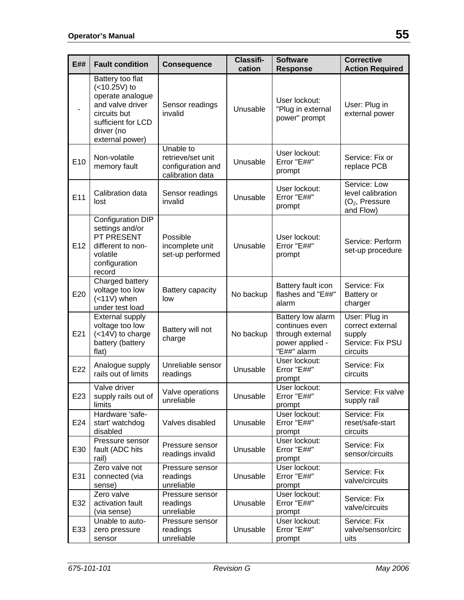| E##             | <b>Fault condition</b>                                                                                                                          | <b>Consequence</b>                                                      | <b>Classifi-</b><br>cation | <b>Software</b><br><b>Response</b>                                                        | <b>Corrective</b><br><b>Action Required</b>                                 |
|-----------------|-------------------------------------------------------------------------------------------------------------------------------------------------|-------------------------------------------------------------------------|----------------------------|-------------------------------------------------------------------------------------------|-----------------------------------------------------------------------------|
|                 | Battery too flat<br>(<10.25V) to<br>operate analogue<br>and valve driver<br>circuits but<br>sufficient for LCD<br>driver (no<br>external power) | Sensor readings<br>invalid                                              | Unusable                   | User lockout:<br>"Plug in external<br>power" prompt                                       | User: Plug in<br>external power                                             |
| E10             | Non-volatile<br>memory fault                                                                                                                    | Unable to<br>retrieve/set unit<br>configuration and<br>calibration data | Unusable                   | User lockout:<br>Error "E##"<br>prompt                                                    | Service: Fix or<br>replace PCB                                              |
| E <sub>11</sub> | Calibration data<br>lost                                                                                                                        | Sensor readings<br>invalid                                              | Unusable                   | User lockout:<br>Error "E##"<br>prompt                                                    | Service: Low<br>level calibration<br>$(O2,$ Pressure<br>and Flow)           |
| E <sub>12</sub> | Configuration DIP<br>settings and/or<br>PT PRESENT<br>different to non-<br>volatile<br>configuration<br>record                                  | Possible<br>incomplete unit<br>set-up performed                         | Unusable                   | User lockout:<br>Error "E##"<br>prompt                                                    | Service: Perform<br>set-up procedure                                        |
| E20             | Charged battery<br>voltage too low<br>$($ < 11V) when<br>under test load                                                                        | Battery capacity<br>low                                                 | No backup                  | Battery fault icon<br>flashes and "E##"<br>alarm                                          | Service: Fix<br>Battery or<br>charger                                       |
| E21             | <b>External supply</b><br>voltage too low<br>(<14V) to charge<br>battery (battery<br>flat)                                                      | Battery will not<br>charge                                              | No backup                  | Battery low alarm<br>continues even<br>through external<br>power applied -<br>"E##" alarm | User: Plug in<br>correct external<br>supply<br>Service: Fix PSU<br>circuits |
| E22             | Analogue supply<br>rails out of limits                                                                                                          | Unreliable sensor<br>readings                                           | Unusable                   | User lockout:<br>Error "E##"<br>prompt                                                    | Service: Fix<br>circuits                                                    |
| E <sub>23</sub> | Valve driver<br>supply rails out of<br>limits                                                                                                   | Valve operations<br>unreliable                                          | Unusable                   | User lockout:<br>Error "E##"<br>prompt                                                    | Service: Fix valve<br>supply rail                                           |
| E24             | Hardware 'safe-<br>start' watchdog<br>disabled                                                                                                  | Valves disabled                                                         | Unusable                   | User lockout:<br>Error "E##"<br>prompt                                                    | Service: Fix<br>reset/safe-start<br>circuits                                |
| E30             | Pressure sensor<br>fault (ADC hits<br>rail)                                                                                                     | Pressure sensor<br>readings invalid                                     | Unusable                   | User lockout:<br>Error "E##"<br>prompt                                                    | Service: Fix<br>sensor/circuits                                             |
| E31             | Zero valve not<br>connected (via<br>sense)                                                                                                      | Pressure sensor<br>readings<br>unreliable                               | Unusable                   | User lockout:<br>Error "E##"<br>prompt                                                    | Service: Fix<br>valve/circuits                                              |
| E32             | Zero valve<br>activation fault<br>(via sense)                                                                                                   | Pressure sensor<br>readings<br>unreliable                               | Unusable                   | User lockout:<br>Error "E##"<br>prompt                                                    | Service: Fix<br>valve/circuits                                              |
| E33             | Unable to auto-<br>zero pressure<br>sensor                                                                                                      | Pressure sensor<br>readings<br>unreliable                               | Unusable                   | User lockout:<br>Error "E##"<br>prompt                                                    | Service: Fix<br>valve/sensor/circ<br>uits                                   |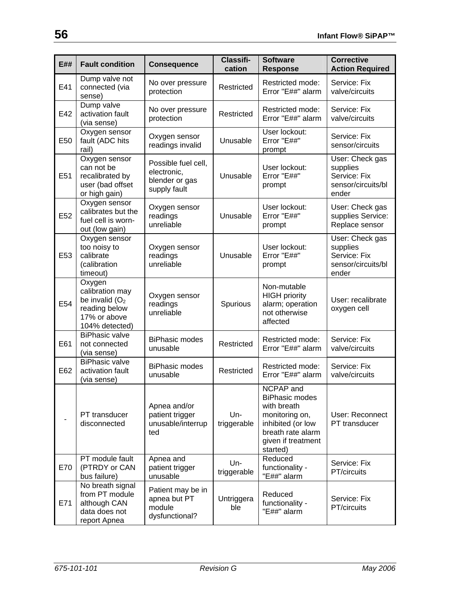| E##             | <b>Fault condition</b>                                                                            | <b>Consequence</b>                                                   | Classifi-<br>cation | <b>Software</b><br><b>Response</b>                                                                                                              | <b>Corrective</b><br><b>Action Required</b>                                |
|-----------------|---------------------------------------------------------------------------------------------------|----------------------------------------------------------------------|---------------------|-------------------------------------------------------------------------------------------------------------------------------------------------|----------------------------------------------------------------------------|
| E41             | Dump valve not<br>connected (via<br>sense)                                                        | No over pressure<br>protection                                       | Restricted          | Restricted mode:<br>Error "E##" alarm                                                                                                           | Service: Fix<br>valve/circuits                                             |
| E42             | Dump valve<br>activation fault<br>(via sense)                                                     | No over pressure<br>protection                                       | Restricted          | Restricted mode:<br>Error "E##" alarm                                                                                                           | Service: Fix<br>valve/circuits                                             |
| E50             | Oxygen sensor<br>fault (ADC hits<br>rail)                                                         | Oxygen sensor<br>readings invalid                                    | Unusable            | User lockout:<br>Error "E##"<br>prompt                                                                                                          | Service: Fix<br>sensor/circuits                                            |
| E51             | Oxygen sensor<br>can not be<br>recalibrated by<br>user (bad offset<br>or high gain)               | Possible fuel cell,<br>electronic,<br>blender or gas<br>supply fault | Unusable            | User lockout:<br>Error "E##"<br>prompt                                                                                                          | User: Check gas<br>supplies<br>Service: Fix<br>sensor/circuits/bl<br>ender |
| E <sub>52</sub> | Oxygen sensor<br>calibrates but the<br>fuel cell is worn-<br>out (low gain)                       | Oxygen sensor<br>readings<br>unreliable                              | Unusable            | User lockout:<br>Error "E##"<br>prompt                                                                                                          | User: Check gas<br>supplies Service:<br>Replace sensor                     |
| E <sub>53</sub> | Oxygen sensor<br>too noisy to<br>calibrate<br>(calibration<br>timeout)                            | Oxygen sensor<br>readings<br>unreliable                              | Unusable            | User lockout:<br>Error "E##"<br>prompt                                                                                                          | User: Check gas<br>supplies<br>Service: Fix<br>sensor/circuits/bl<br>ender |
| E54             | Oxygen<br>calibration may<br>be invalid $(O2)$<br>reading below<br>17% or above<br>104% detected) | Oxygen sensor<br>readings<br>unreliable                              | Spurious            | Non-mutable<br><b>HIGH priority</b><br>alarm; operation<br>not otherwise<br>affected                                                            | User: recalibrate<br>oxygen cell                                           |
| E61             | <b>BiPhasic valve</b><br>not connected<br>(via sense)                                             | <b>BiPhasic modes</b><br>unusable                                    | Restricted          | Restricted mode:<br>Error "E##" alarm                                                                                                           | Service: Fix<br>valve/circuits                                             |
| E62             | <b>BiPhasic valve</b><br>activation fault<br>(via sense)                                          | <b>BiPhasic modes</b><br>unusable                                    | Restricted          | Restricted mode:<br>Error "E##" alarm                                                                                                           | Service: Fix<br>valve/circuits                                             |
|                 | PT transducer<br>disconnected                                                                     | Apnea and/or<br>patient trigger<br>unusable/interrup<br>ted          | Un-<br>triggerable  | NCPAP and<br><b>BiPhasic modes</b><br>with breath<br>monitoring on,<br>inhibited (or low<br>breath rate alarm<br>given if treatment<br>started) | User: Reconnect<br>PT transducer                                           |
| E70             | PT module fault<br>(PTRDY or CAN<br>bus failure)                                                  | Apnea and<br>patient trigger<br>unusable                             | Un-<br>triggerable  | Reduced<br>functionality -<br>"E##" alarm                                                                                                       | Service: Fix<br>PT/circuits                                                |
| E71             | No breath signal<br>from PT module<br>although CAN<br>data does not<br>report Apnea               | Patient may be in<br>apnea but PT<br>module<br>dysfunctional?        | Untriggera<br>ble   | Reduced<br>functionality -<br>"E##" alarm                                                                                                       | Service: Fix<br>PT/circuits                                                |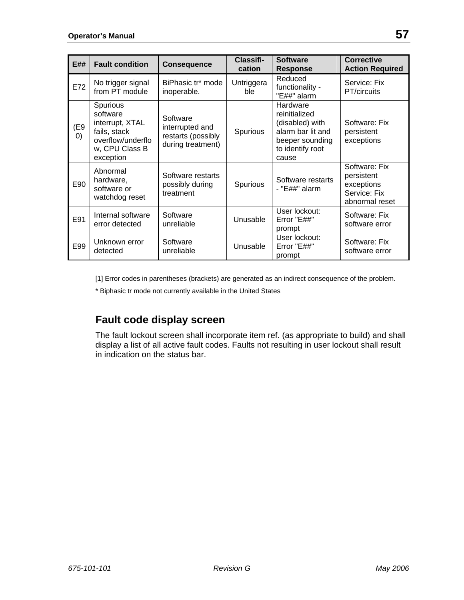| <b>E##</b>               | <b>Fault condition</b>                                                                                             | <b>Consequence</b>                                                     | Classifi-<br>cation | <b>Software</b><br>Response                                                                                       | <b>Corrective</b><br><b>Action Required</b>                                 |
|--------------------------|--------------------------------------------------------------------------------------------------------------------|------------------------------------------------------------------------|---------------------|-------------------------------------------------------------------------------------------------------------------|-----------------------------------------------------------------------------|
| E72                      | No trigger signal<br>from PT module                                                                                | BiPhasic tr* mode<br>inoperable.                                       | Untriggera<br>ble   | Reduced<br>functionality -<br>"E##" alarm                                                                         | Service: Fix<br>PT/circuits                                                 |
| (E9<br>$\left( 0\right)$ | <b>Spurious</b><br>software<br>interrupt, XTAL<br>fails, stack<br>overflow/underflo<br>w, CPU Class B<br>exception | Software<br>interrupted and<br>restarts (possibly<br>during treatment) | Spurious            | Hardware<br>reinitialized<br>(disabled) with<br>alarm bar lit and<br>beeper sounding<br>to identify root<br>cause | Software: Fix<br>persistent<br>exceptions                                   |
| E90                      | Abnormal<br>hardware,<br>software or<br>watchdog reset                                                             | Software restarts<br>possibly during<br>treatment                      | Spurious            | Software restarts<br>- "E##" alarm                                                                                | Software: Fix<br>persistent<br>exceptions<br>Service: Fix<br>abnormal reset |
| E91                      | Internal software<br>error detected                                                                                | Software<br>unreliable                                                 | Unusable            | User lockout:<br>Error "E##"<br>prompt                                                                            | Software: Fix<br>software error                                             |
| E99                      | Unknown error<br>detected                                                                                          | Software<br>unreliable                                                 | Unusable            | User lockout:<br>Error "E##"<br>prompt                                                                            | Software: Fix<br>software error                                             |

[1] Error codes in parentheses (brackets) are generated as an indirect consequence of the problem.

\* Biphasic tr mode not currently available in the United States

## **Fault code display screen**

The fault lockout screen shall incorporate item ref. (as appropriate to build) and shall display a list of all active fault codes. Faults not resulting in user lockout shall result in indication on the status bar.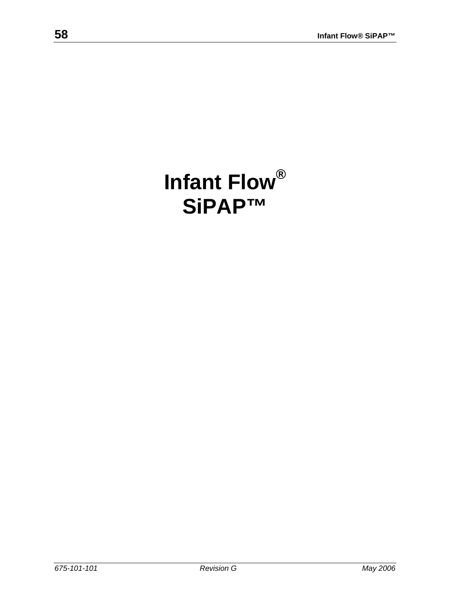# **Infant Flow® SiPAP™**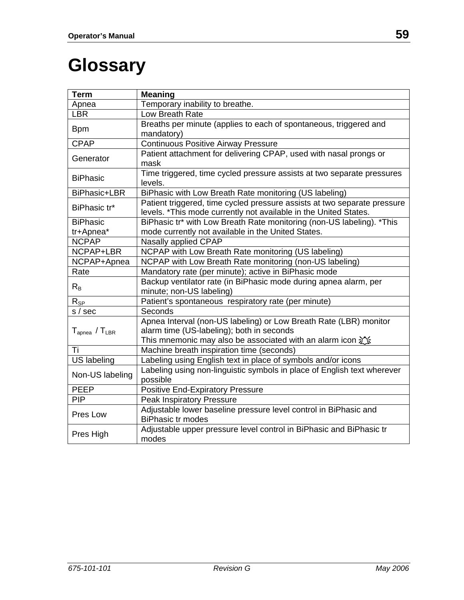# **Glossary**

| <b>Term</b>             | <b>Meaning</b>                                                                 |
|-------------------------|--------------------------------------------------------------------------------|
| Apnea                   | Temporary inability to breathe.                                                |
| LBR                     | Low Breath Rate                                                                |
| <b>Bpm</b>              | Breaths per minute (applies to each of spontaneous, triggered and              |
|                         | mandatory)                                                                     |
| <b>CPAP</b>             | <b>Continuous Positive Airway Pressure</b>                                     |
| Generator               | Patient attachment for delivering CPAP, used with nasal prongs or              |
|                         | mask                                                                           |
| <b>BiPhasic</b>         | Time triggered, time cycled pressure assists at two separate pressures         |
|                         | levels.                                                                        |
| BiPhasic+LBR            | BiPhasic with Low Breath Rate monitoring (US labeling)                         |
| BiPhasic tr*            | Patient triggered, time cycled pressure assists at two separate pressure       |
|                         | levels. *This mode currently not available in the United States.               |
| <b>BiPhasic</b>         | BiPhasic tr* with Low Breath Rate monitoring (non-US labeling). *This          |
| tr+Apnea*               | mode currently not available in the United States.                             |
| <b>NCPAP</b>            | Nasally applied CPAP                                                           |
| NCPAP+LBR               | NCPAP with Low Breath Rate monitoring (US labeling)                            |
| NCPAP+Apnea             | NCPAP with Low Breath Rate monitoring (non-US labeling)                        |
| Rate                    | Mandatory rate (per minute); active in BiPhasic mode                           |
| $R_B$                   | Backup ventilator rate (in BiPhasic mode during apnea alarm, per               |
|                         | minute; non-US labeling)                                                       |
| $R_{SP}$                | Patient's spontaneous respiratory rate (per minute)                            |
| s / sec                 | Seconds                                                                        |
|                         | Apnea Interval (non-US labeling) or Low Breath Rate (LBR) monitor              |
| $T_{apnea}$ / $T_{LBR}$ | alarm time (US-labeling); both in seconds                                      |
|                         | This mnemonic may also be associated with an alarm icon $\partial \mathcal{L}$ |
| Τi                      | Machine breath inspiration time (seconds)                                      |
| US labeling             | Labeling using English text in place of symbols and/or icons                   |
| Non-US labeling         | Labeling using non-linguistic symbols in place of English text wherever        |
|                         | possible                                                                       |
| <b>PEEP</b>             | <b>Positive End-Expiratory Pressure</b>                                        |
| <b>PIP</b>              | <b>Peak Inspiratory Pressure</b>                                               |
| Pres Low                | Adjustable lower baseline pressure level control in BiPhasic and               |
|                         | <b>BiPhasic tr modes</b>                                                       |
|                         | Adjustable upper pressure level control in BiPhasic and BiPhasic tr            |
| Pres High               | modes                                                                          |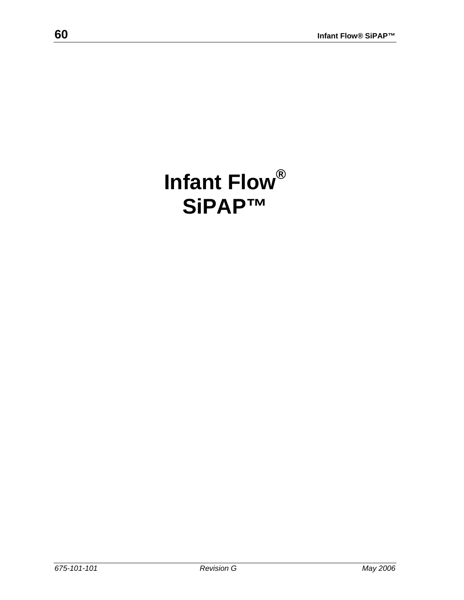# **Infant Flow® SiPAP™**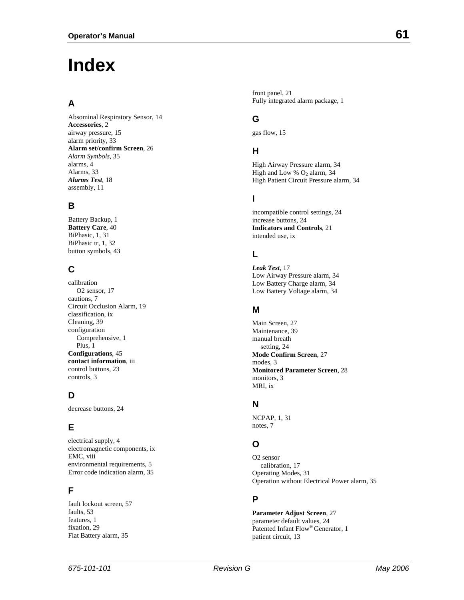# **Index**

## **A**

Absominal Respiratory Sensor, 14 **Accessories**, 2 airway pressure, 15 alarm priority, 33 **Alarm set/confirm Screen**, 26 *Alarm Symbols*, 35 alarms, 4 Alarms, 33 *Alarms Test*, 18 assembly, 11

## **B**

Battery Backup, 1 **Battery Care**, 40 BiPhasic, 1, 31 BiPhasic tr, 1, 32 button symbols, 43

## **C**

calibration O2 sensor, 17 cautions, 7 Circuit Occlusion Alarm, 19 classification, ix Cleaning, 39 configuration Comprehensive, 1 Plus, 1 **Configurations**, 45 **contact information**, iii control buttons, 23 controls, 3

## **D**

decrease buttons, 24

## **E**

electrical supply, 4 electromagnetic components, ix EMC, viii environmental requirements, 5 Error code indication alarm, 35

### **F**

fault lockout screen, 57 faults, 53 features, 1 fixation, 29 Flat Battery alarm, 35

front panel, 21 Fully integrated alarm package, 1

## **G**

gas flow, 15

#### **H**

High Airway Pressure alarm, 34 High and Low %  $O_2$  alarm, 34 High Patient Circuit Pressure alarm, 34

#### **I**

incompatible control settings, 24 increase buttons, 24 **Indicators and Controls**, 21 intended use, ix

### **L**

*Leak Test*, 17 Low Airway Pressure alarm, 34 Low Battery Charge alarm, 34 Low Battery Voltage alarm, 34

#### **M**

Main Screen, 27 Maintenance, 39 manual breath setting, 24 **Mode Confirm Screen**, 27 modes, 3 **Monitored Parameter Screen**, 28 monitors, 3 MRI, ix

#### **N**

NCPAP, 1, 31 notes, 7

## **O**

O2 sensor calibration, 17 Operating Modes, 31 Operation without Electrical Power alarm, 35

#### **P**

**Parameter Adjust Screen**, 27 parameter default values, 24 Patented Infant Flow® Generator, 1 patient circuit, 13